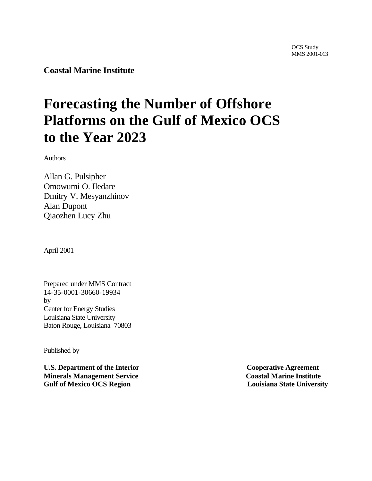**Coastal Marine Institute**

# **Forecasting the Number of Offshore Platforms on the Gulf of Mexico OCS to the Year 2023**

Authors

Allan G. Pulsipher Omowumi O. Iledare Dmitry V. Mesyanzhinov Alan Dupont Qiaozhen Lucy Zhu

April 2001

Prepared under MMS Contract 14-35-0001-30660-19934 by Center for Energy Studies Louisiana State University Baton Rouge, Louisiana 70803

Published by

**U.S. Department of the Interior Cooperative Agreement Minerals Management Service Coastal Marine Institute Gulf of Mexico OCS Region Louisiana State University**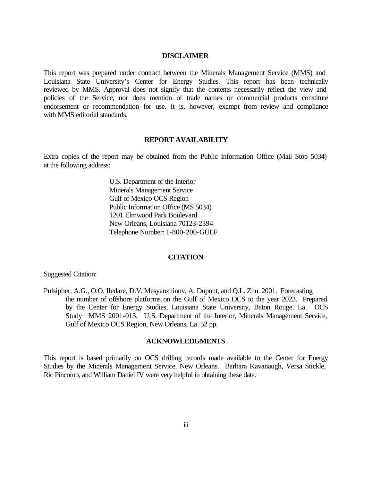#### **DISCLAIMER**

This report was prepared under contract between the Minerals Management Service (MMS) and Louisiana State University's Center for Energy Studies. This report has been technically reviewed by MMS. Approval does not signify that the contents necessarily reflect the view and policies of the Service, nor does mention of trade names or commercial products constitute endorsement or recommendation for use. It is, however, exempt from review and compliance with MMS editorial standards.

#### **REPORT AVAILABILITY**

Extra copies of the report may be obtained from the Public Information Office (Mail Stop 5034) at the following address:

> U.S. Department of the Interior Minerals Management Service Gulf of Mexico OCS Region Public Information Office (MS 5034) 1201 Elmwood Park Boulevard New Orleans, Louisiana 70123-2394 Telephone Number: 1-800-200-GULF

#### **CITATION**

Suggested Citation:

Pulsipher, A.G., O.O. Iledare, D.V. Mesyanzhinov, A. Dupont, and Q.L. Zhu. 2001. Forecasting the number of offshore platforms on the Gulf of Mexico OCS to the year 2023. Prepared by the Center for Energy Studies, Louisiana State University, Baton Rouge, La. OCS Study MMS 2001-013. U.S. Department of the Interior, Minerals Management Service, Gulf of Mexico OCS Region, New Orleans, La. 52 pp.

#### **ACKNOWLEDGMENTS**

This report is based primarily on OCS drilling records made available to the Center for Energy Studies by the Minerals Management Service, New Orleans. Barbara Kavanaugh, Versa Stickle, Ric Pincomb, and William Daniel IV were very helpful in obtaining these data.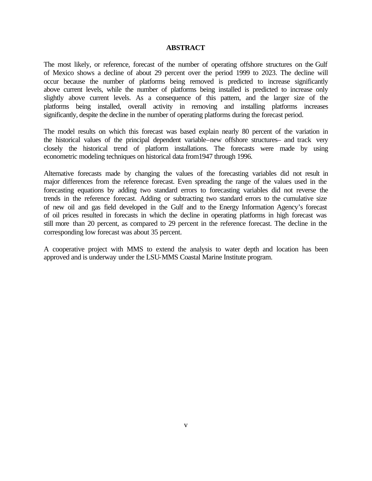#### **ABSTRACT**

The most likely, or reference, forecast of the number of operating offshore structures on the Gulf of Mexico shows a decline of about 29 percent over the period 1999 to 2023. The decline will occur because the number of platforms being removed is predicted to increase significantly above current levels, while the number of platforms being installed is predicted to increase only slightly above current levels. As a consequence of this pattern, and the larger size of the platforms being installed, overall activity in removing and installing platforms increases significantly, despite the decline in the number of operating platforms during the forecast period.

The model results on which this forecast was based explain nearly 80 percent of the variation in the historical values of the principal dependent variable–new offshore structures– and track very closely the historical trend of platform installations. The forecasts were made by using econometric modeling techniques on historical data from1947 through 1996.

Alternative forecasts made by changing the values of the forecasting variables did not result in major differences from the reference forecast. Even spreading the range of the values used in the forecasting equations by adding two standard errors to forecasting variables did not reverse the trends in the reference forecast. Adding or subtracting two standard errors to the cumulative size of new oil and gas field developed in the Gulf and to the Energy Information Agency's forecast of oil prices resulted in forecasts in which the decline in operating platforms in high forecast was still more than 20 percent, as compared to 29 percent in the reference forecast. The decline in the corresponding low forecast was about 35 percent.

A cooperative project with MMS to extend the analysis to water depth and location has been approved and is underway under the LSU-MMS Coastal Marine Institute program.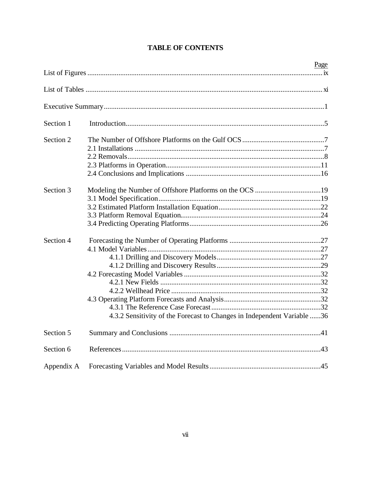|            |                                                                         | Page |
|------------|-------------------------------------------------------------------------|------|
|            |                                                                         |      |
|            |                                                                         |      |
|            |                                                                         |      |
| Section 1  |                                                                         |      |
| Section 2  |                                                                         |      |
|            |                                                                         |      |
|            |                                                                         |      |
|            |                                                                         |      |
|            |                                                                         |      |
| Section 3  |                                                                         |      |
|            |                                                                         |      |
|            |                                                                         |      |
|            |                                                                         |      |
|            |                                                                         |      |
| Section 4  |                                                                         |      |
|            |                                                                         |      |
|            |                                                                         |      |
|            |                                                                         |      |
|            |                                                                         |      |
|            |                                                                         |      |
|            |                                                                         |      |
|            |                                                                         |      |
|            |                                                                         |      |
|            | 4.3.2 Sensitivity of the Forecast to Changes in Independent Variable 36 |      |
| Section 5  |                                                                         |      |
| Section 6  |                                                                         |      |
| Appendix A |                                                                         |      |

# **TABLE OF CONTENTS**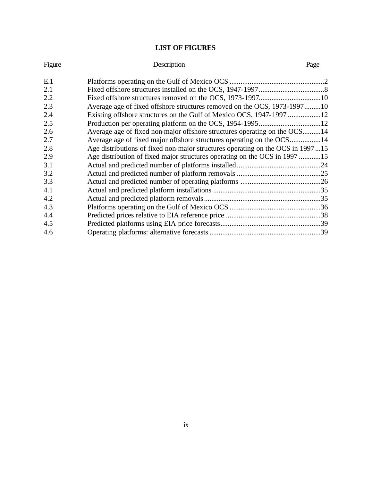# **LIST OF FIGURES**

| <b>Figure</b> | Description                                                                    | Page |
|---------------|--------------------------------------------------------------------------------|------|
| E.1           |                                                                                |      |
| 2.1           |                                                                                |      |
| 2.2           |                                                                                |      |
| 2.3           | Average age of fixed offshore structures removed on the OCS, 1973-199710       |      |
| 2.4           | Existing offshore structures on the Gulf of Mexico OCS, 1947-1997 12           |      |
| 2.5           |                                                                                |      |
| 2.6           | Average age of fixed non-major offshore structures operating on the OCS14      |      |
| 2.7           | Average age of fixed major offshore structures operating on the OCS14          |      |
| 2.8           | Age distributions of fixed non-major structures operating on the OCS in 199715 |      |
| 2.9           | Age distribution of fixed major structures operating on the OCS in 1997 15     |      |
| 3.1           |                                                                                |      |
| 3.2           |                                                                                |      |
| 3.3           |                                                                                |      |
| 4.1           |                                                                                |      |
| 4.2           |                                                                                |      |
| 4.3           |                                                                                |      |
| 4.4           |                                                                                |      |
| 4.5           |                                                                                |      |
| 4.6           |                                                                                |      |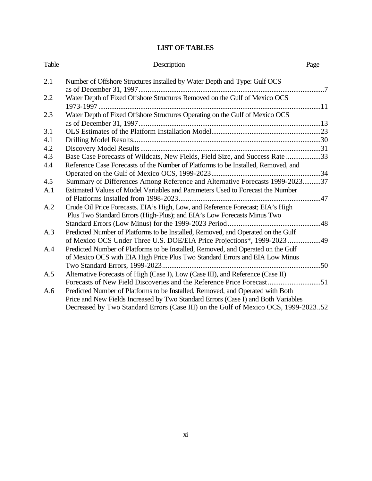# **LIST OF TABLES**

| Table      | Description                                                                                                                                                         | Page |
|------------|---------------------------------------------------------------------------------------------------------------------------------------------------------------------|------|
| 2.1        | Number of Offshore Structures Installed by Water Depth and Type: Gulf OCS                                                                                           |      |
| 2.2        | Water Depth of Fixed Offshore Structures Removed on the Gulf of Mexico OCS                                                                                          |      |
| 2.3        | Water Depth of Fixed Offshore Structures Operating on the Gulf of Mexico OCS                                                                                        |      |
| 3.1        |                                                                                                                                                                     |      |
| 4.1<br>4.2 |                                                                                                                                                                     |      |
| 4.3        | Base Case Forecasts of Wildcats, New Fields, Field Size, and Success Rate 33                                                                                        |      |
| 4.4        | Reference Case Forecasts of the Number of Platforms to be Installed, Removed, and                                                                                   |      |
| 4.5<br>A.1 | Summary of Differences Among Reference and Alternative Forecasts 1999-202337<br>Estimated Values of Model Variables and Parameters Used to Forecast the Number      |      |
| A.2        | Crude Oil Price Forecasts. EIA's High, Low, and Reference Forecast; EIA's High                                                                                      |      |
|            | Plus Two Standard Errors (High-Plus); and EIA's Low Forecasts Minus Two                                                                                             |      |
| A.3        | Predicted Number of Platforms to be Installed, Removed, and Operated on the Gulf                                                                                    |      |
| A.4        | of Mexico OCS Under Three U.S. DOE/EIA Price Projections*, 1999-2023 49<br>Predicted Number of Platforms to be Installed, Removed, and Operated on the Gulf         |      |
|            | of Mexico OCS with EIA High Price Plus Two Standard Errors and EIA Low Minus                                                                                        |      |
| A.5        | Alternative Forecasts of High (Case I), Low (Case III), and Reference (Case II)                                                                                     |      |
|            | Forecasts of New Field Discoveries and the Reference Price Forecast51                                                                                               |      |
| A.6        | Predicted Number of Platforms to be Installed, Removed, and Operated with Both<br>Price and New Fields Increased by Two Standard Errors (Case I) and Both Variables |      |
|            | Decreased by Two Standard Errors (Case III) on the Gulf of Mexico OCS, 1999-202352                                                                                  |      |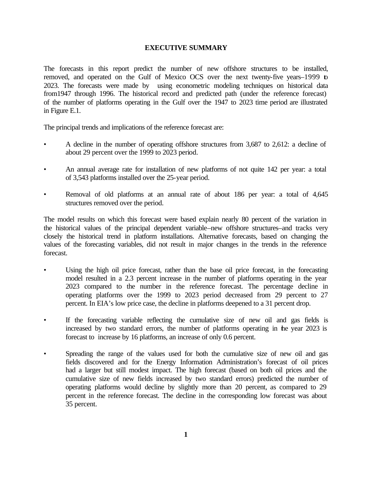#### **EXECUTIVE SUMMARY**

The forecasts in this report predict the number of new offshore structures to be installed, removed, and operated on the Gulf of Mexico OCS over the next twenty-five years–1999 to 2023. The forecasts were made by using econometric modeling techniques on historical data from1947 through 1996. The historical record and predicted path (under the reference forecast) of the number of platforms operating in the Gulf over the 1947 to 2023 time period are illustrated in Figure E.1.

The principal trends and implications of the reference forecast are:

- A decline in the number of operating offshore structures from 3,687 to 2,612: a decline of about 29 percent over the 1999 to 2023 period.
- An annual average rate for installation of new platforms of not quite 142 per year: a total of 3,543 platforms installed over the 25-year period.
- Removal of old platforms at an annual rate of about 186 per year: a total of 4,645 structures removed over the period.

The model results on which this forecast were based explain nearly 80 percent of the variation in the historical values of the principal dependent variable–new offshore structures–and tracks very closely the historical trend in platform installations. Alternative forecasts, based on changing the values of the forecasting variables, did not result in major changes in the trends in the reference forecast.

- Using the high oil price forecast, rather than the base oil price forecast, in the forecasting model resulted in a 2.3 percent increase in the number of platforms operating in the year 2023 compared to the number in the reference forecast. The percentage decline in operating platforms over the 1999 to 2023 period decreased from 29 percent to 27 percent. In EIA's low price case, the decline in platforms deepened to a 31 percent drop.
- If the forecasting variable reflecting the cumulative size of new oil and gas fields is increased by two standard errors, the number of platforms operating in the year 2023 is forecast to increase by 16 platforms, an increase of only 0.6 percent.
- Spreading the range of the values used for both the cumulative size of new oil and gas fields discovered and for the Energy Information Administration's forecast of oil prices had a larger but still modest impact. The high forecast (based on both oil prices and the cumulative size of new fields increased by two standard errors) predicted the number of operating platforms would decline by slightly more than 20 percent, as compared to 29 percent in the reference forecast. The decline in the corresponding low forecast was about 35 percent.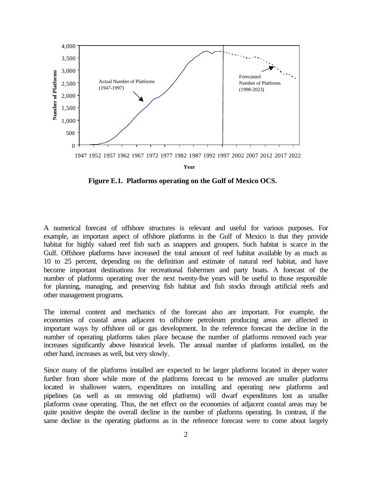

**Figure E.1. Platforms operating on the Gulf of Mexico OCS.** 

A numerical forecast of offshore structures is relevant and useful for various purposes. For example, an important aspect of offshore platforms in the Gulf of Mexico is that they provide habitat for highly valued reef fish such as snappers and groupers. Such habitat is scarce in the Gulf. Offshore platforms have increased the total amount of reef habitat available by as much as 10 to 25 percent, depending on the definition and estimate of natural reef habitat, and have become important destinations for recreational fishermen and party boats. A forecast of the number of platforms operating over the next twenty-five years will be useful to those responsible for planning, managing, and preserving fish habitat and fish stocks through artificial reefs and other management programs.

The internal content and mechanics of the forecast also are important. For example, the economies of coastal areas adjacent to offshore petroleum producing areas are affected in important ways by offshore oil or gas development. In the reference forecast the decline in the number of operating platforms takes place because the number of platforms removed each year increases significantly above historical levels. The annual number of platforms installed, on the other hand, increases as well, but very slowly.

Since many of the platforms installed are expected to be larger platforms located in deeper water further from shore while more of the platforms forecast to be removed are smaller platforms located in shallower waters, expenditures on installing and operating new platforms and pipelines (as well as on removing old platforms) will dwarf expenditures lost as smaller platforms cease operating. Thus, the net effect on the economies of adjacent coastal areas may be quite positive despite the overall decline in the number of platforms operating. In contrast, if the same decline in the operating platforms as in the reference forecast were to come about largely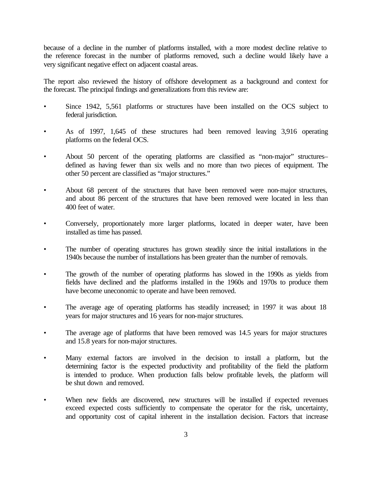because of a decline in the number of platforms installed, with a more modest decline relative to the reference forecast in the number of platforms removed, such a decline would likely have a very significant negative effect on adjacent coastal areas.

The report also reviewed the history of offshore development as a background and context for the forecast. The principal findings and generalizations from this review are:

- Since 1942, 5,561 platforms or structures have been installed on the OCS subject to federal jurisdiction.
- As of 1997, 1,645 of these structures had been removed leaving 3,916 operating platforms on the federal OCS.
- About 50 percent of the operating platforms are classified as "non-major" structures– defined as having fewer than six wells and no more than two pieces of equipment. The other 50 percent are classified as "major structures."
- About 68 percent of the structures that have been removed were non-major structures, and about 86 percent of the structures that have been removed were located in less than 400 feet of water.
- Conversely, proportionately more larger platforms, located in deeper water, have been installed as time has passed.
- The number of operating structures has grown steadily since the initial installations in the 1940s because the number of installations has been greater than the number of removals.
- The growth of the number of operating platforms has slowed in the 1990s as yields from fields have declined and the platforms installed in the 1960s and 1970s to produce them have become uneconomic to operate and have been removed.
- The average age of operating platforms has steadily increased; in 1997 it was about 18 years for major structures and 16 years for non-major structures.
- The average age of platforms that have been removed was 14.5 years for major structures and 15.8 years for non-major structures.
- Many external factors are involved in the decision to install a platform, but the determining factor is the expected productivity and profitability of the field the platform is intended to produce. When production falls below profitable levels, the platform will be shut down and removed.
- When new fields are discovered, new structures will be installed if expected revenues exceed expected costs sufficiently to compensate the operator for the risk, uncertainty, and opportunity cost of capital inherent in the installation decision. Factors that increase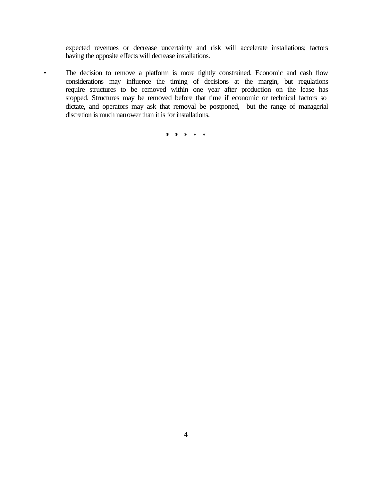expected revenues or decrease uncertainty and risk will accelerate installations; factors having the opposite effects will decrease installations.

• The decision to remove a platform is more tightly constrained. Economic and cash flow considerations may influence the timing of decisions at the margin, but regulations require structures to be removed within one year after production on the lease has stopped. Structures may be removed before that time if economic or technical factors so dictate, and operators may ask that removal be postponed, but the range of managerial discretion is much narrower than it is for installations.

**\* \* \* \* \***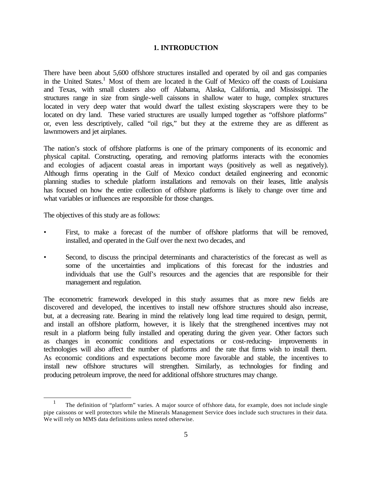#### **1. INTRODUCTION**

There have been about 5,600 offshore structures installed and operated by oil and gas companies in the United States.<sup>1</sup> Most of them are located in the Gulf of Mexico off the coasts of Louisiana and Texas, with small clusters also off Alabama, Alaska, California, and Mississippi. The structures range in size from single-well caissons in shallow water to huge, complex structures located in very deep water that would dwarf the tallest existing skyscrapers were they to be located on dry land. These varied structures are usually lumped together as "offshore platforms" or, even less descriptively, called "oil rigs," but they at the extreme they are as different as lawnmowers and jet airplanes.

The nation's stock of offshore platforms is one of the primary components of its economic and physical capital. Constructing, operating, and removing platforms interacts with the economies and ecologies of adjacent coastal areas in important ways (positively as well as negatively). Although firms operating in the Gulf of Mexico conduct detailed engineering and economic planning studies to schedule platform installations and removals on their leases, little analysis has focused on how the entire collection of offshore platforms is likely to change over time and what variables or influences are responsible for those changes.

The objectives of this study are as follows:

l

- First, to make a forecast of the number of offshore platforms that will be removed, installed, and operated in the Gulf over the next two decades, and
- Second, to discuss the principal determinants and characteristics of the forecast as well as some of the uncertainties and implications of this forecast for the industries and individuals that use the Gulf's resources and the agencies that are responsible for their management and regulation.

The econometric framework developed in this study assumes that as more new fields are discovered and developed, the incentives to install new offshore structures should also increase, but, at a decreasing rate. Bearing in mind the relatively long lead time required to design, permit, and install an offshore platform, however, it is likely that the strengthened incentives may not result in a platform being fully installed and operating during the given year. Other factors such as changes in economic conditions and expectations or cost-reducing- improvements in technologies will also affect the number of platforms and the rate that firms wish to install them. As economic conditions and expectations become more favorable and stable, the incentives to install new offshore structures will strengthen. Similarly, as technologies for finding and producing petroleum improve, the need for additional offshore structures may change.

 <sup>1</sup> The definition of "platform" varies. A major source of offshore data, for example, does not include single pipe caissons or well protectors while the Minerals Management Service does include such structures in their data. We will rely on MMS data definitions unless noted otherwise.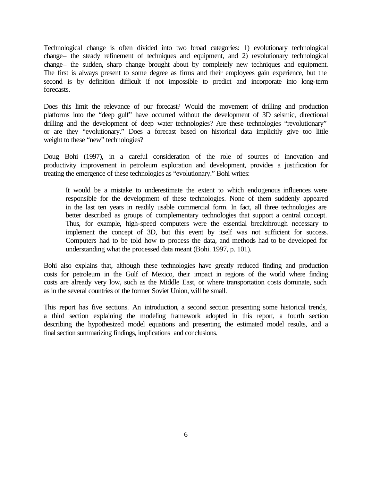Technological change is often divided into two broad categories: 1) evolutionary technological change– the steady refinement of techniques and equipment, and 2) revolutionary technological change– the sudden, sharp change brought about by completely new techniques and equipment. The first is always present to some degree as firms and their employees gain experience, but the second is by definition difficult if not impossible to predict and incorporate into long-term forecasts.

Does this limit the relevance of our forecast? Would the movement of drilling and production platforms into the "deep gulf" have occurred without the development of 3D seismic, directional drilling and the development of deep water technologies? Are these technologies "revolutionary" or are they "evolutionary." Does a forecast based on historical data implicitly give too little weight to these "new" technologies?

Doug Bohi (1997), in a careful consideration of the role of sources of innovation and productivity improvement in petroleum exploration and development, provides a justification for treating the emergence of these technologies as "evolutionary." Bohi writes:

It would be a mistake to underestimate the extent to which endogenous influences were responsible for the development of these technologies. None of them suddenly appeared in the last ten years in readily usable commercial form. In fact, all three technologies are better described as groups of complementary technologies that support a central concept. Thus, for example, high-speed computers were the essential breakthrough necessary to implement the concept of 3D, but this event by itself was not sufficient for success. Computers had to be told how to process the data, and methods had to be developed for understanding what the processed data meant (Bohi. 1997, p. 101).

Bohi also explains that, although these technologies have greatly reduced finding and production costs for petroleum in the Gulf of Mexico, their impact in regions of the world where finding costs are already very low, such as the Middle East, or where transportation costs dominate, such as in the several countries of the former Soviet Union, will be small.

This report has five sections. An introduction, a second section presenting some historical trends, a third section explaining the modeling framework adopted in this report, a fourth section describing the hypothesized model equations and presenting the estimated model results, and a final section summarizing findings, implications and conclusions.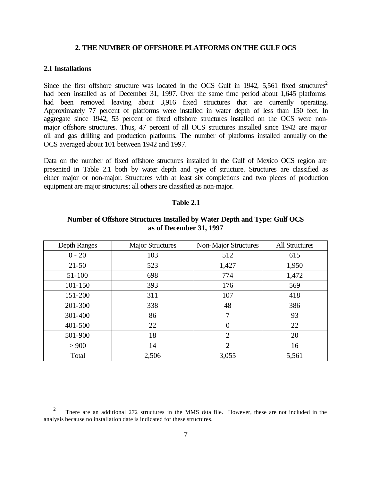#### **2. THE NUMBER OF OFFSHORE PLATFORMS ON THE GULF OCS**

#### **2.1 Installations**

l

Since the first offshore structure was located in the OCS Gulf in 1942, 5,561 fixed structures<sup>2</sup> had been installed as of December 31, 1997. Over the same time period about 1,645 platforms had been removed leaving about 3,916 fixed structures that are currently operating**.** Approximately 77 percent of platforms were installed in water depth of less than 150 feet. In aggregate since 1942, 53 percent of fixed offshore structures installed on the OCS were nonmajor offshore structures. Thus, 47 percent of all OCS structures installed since 1942 are major oil and gas drilling and production platforms. The number of platforms installed annually on the OCS averaged about 101 between 1942 and 1997.

Data on the number of fixed offshore structures installed in the Gulf of Mexico OCS region are presented in Table 2.1 both by water depth and type of structure. Structures are classified as either major or non-major. Structures with at least six completions and two pieces of production equipment are major structures; all others are classified as non-major.

#### **Table 2.1**

| Depth Ranges | <b>Major Structures</b> | Non-Major Structures | <b>All Structures</b> |
|--------------|-------------------------|----------------------|-----------------------|
| $0 - 20$     | 103                     | 512                  | 615                   |
| $21 - 50$    | 523                     | 1,427                | 1,950                 |
| $51 - 100$   | 698                     | 774                  | 1,472                 |
| 101-150      | 393                     | 176                  | 569                   |
| 151-200      | 311                     | 107                  | 418                   |
| 201-300      | 338                     | 48                   | 386                   |
| 301-400      | 86                      | 7                    | 93                    |
| 401-500      | 22                      | $\overline{0}$       | 22                    |
| 501-900      | 18                      | $\overline{2}$       | 20                    |
| > 900        | 14                      | $\overline{2}$       | 16                    |
| Total        | 2,506                   | 3,055                | 5,561                 |

## **Number of Offshore Structures Installed by Water Depth and Type: Gulf OCS as of December 31, 1997**

 $\mathfrak{D}$  There are an additional 272 structures in the MMS data file. However, these are not included in the analysis because no installation date is indicated for these structures.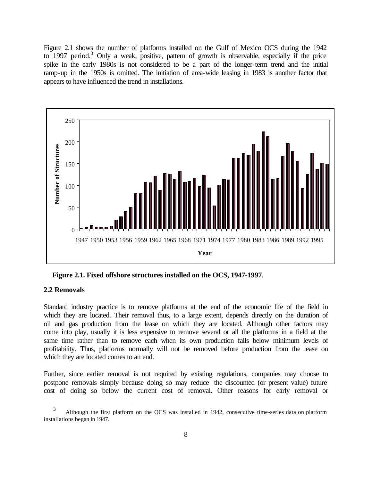Figure 2.1 shows the number of platforms installed on the Gulf of Mexico OCS during the 1942 to 1997 period.<sup>3</sup> Only a weak, positive, pattern of growth is observable, especially if the price spike in the early 1980s is not considered to be a part of the longer-term trend and the initial ramp-up in the 1950s is omitted. The initiation of area-wide leasing in 1983 is another factor that appears to have influenced the trend in installations.



**Figure 2.1. Fixed offshore structures installed on the OCS, 1947-1997.**

#### **2.2 Removals**

l

Standard industry practice is to remove platforms at the end of the economic life of the field in which they are located. Their removal thus, to a large extent, depends directly on the duration of oil and gas production from the lease on which they are located. Although other factors may come into play, usually it is less expensive to remove several or all the platforms in a field at the same time rather than to remove each when its own production falls below minimum levels of profitability. Thus, platforms normally will not be removed before production from the lease on which they are located comes to an end.

Further, since earlier removal is not required by existing regulations, companies may choose to postpone removals simply because doing so may reduce the discounted (or present value) future cost of doing so below the current cost of removal. Other reasons for early removal or

 <sup>3</sup> Although the first platform on the OCS was installed in 1942, consecutive time-series data on platform installations began in 1947.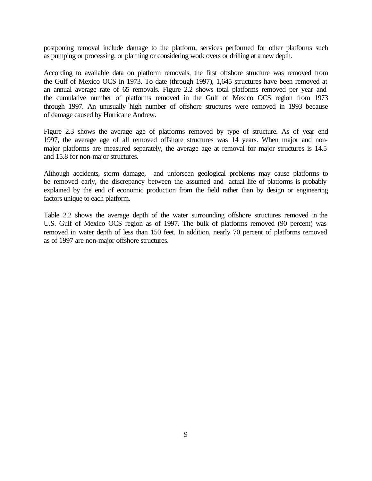postponing removal include damage to the platform, services performed for other platforms such as pumping or processing, or planning or considering work overs or drilling at a new depth.

According to available data on platform removals, the first offshore structure was removed from the Gulf of Mexico OCS in 1973. To date (through 1997), 1,645 structures have been removed at an annual average rate of 65 removals. Figure 2.2 shows total platforms removed per year and the cumulative number of platforms removed in the Gulf of Mexico OCS region from 1973 through 1997. An unusually high number of offshore structures were removed in 1993 because of damage caused by Hurricane Andrew.

Figure 2.3 shows the average age of platforms removed by type of structure. As of year end 1997, the average age of all removed offshore structures was 14 years. When major and nonmajor platforms are measured separately, the average age at removal for major structures is 14.5 and 15.8 for non-major structures.

Although accidents, storm damage, and unforseen geological problems may cause platforms to be removed early, the discrepancy between the assumed and actual life of platforms is probably explained by the end of economic production from the field rather than by design or engineering factors unique to each platform.

Table 2.2 shows the average depth of the water surrounding offshore structures removed in the U.S. Gulf of Mexico OCS region as of 1997. The bulk of platforms removed (90 percent) was removed in water depth of less than 150 feet. In addition, nearly 70 percent of platforms removed as of 1997 are non-major offshore structures.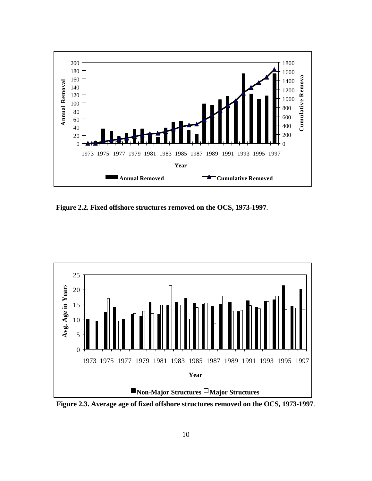

**Figure 2.2. Fixed offshore structures removed on the OCS, 1973-1997.**



**Figure 2.3. Average age of fixed offshore structures removed on the OCS, 1973-1997**.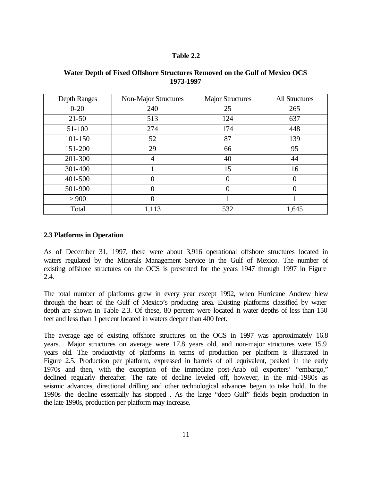#### **Table 2.2**

| Depth Ranges | Non-Major Structures | <b>Major Structures</b> | <b>All Structures</b> |
|--------------|----------------------|-------------------------|-----------------------|
| $0 - 20$     | 240                  | 25                      | 265                   |
| $21 - 50$    | 513                  | 124                     | 637                   |
| $51 - 100$   | 274                  | 174                     | 448                   |
| 101-150      | 52                   | 87                      | 139                   |
| 151-200      | 29                   | 66                      | 95                    |
| 201-300      | 4                    | 40                      | 44                    |
| 301-400      |                      | 15                      | 16                    |
| 401-500      | $\overline{0}$       | $\overline{0}$          | $\theta$              |
| 501-900      | $\overline{0}$       | $\overline{0}$          | 0                     |
| > 900        | $\overline{0}$       |                         |                       |
| Total        | 1,113                | 532                     | 1,645                 |

## **Water Depth of Fixed Offshore Structures Removed on the Gulf of Mexico OCS 1973-1997**

#### **2.3 Platforms in Operation**

As of December 31, 1997, there were about 3,916 operational offshore structures located in waters regulated by the Minerals Management Service in the Gulf of Mexico. The number of existing offshore structures on the OCS is presented for the years 1947 through 1997 in Figure 2.4.

The total number of platforms grew in every year except 1992, when Hurricane Andrew blew through the heart of the Gulf of Mexico's producing area. Existing platforms classified by water depth are shown in Table 2.3. Of these, 80 percent were located in water depths of less than 150 feet and less than 1 percent located in waters deeper than 400 feet.

The average age of existing offshore structures on the OCS in 1997 was approximately 16.8 years. Major structures on average were 17.8 years old, and non-major structures were 15.9 years old. The productivity of platforms in terms of production per platform is illustrated in Figure 2.5. Production per platform, expressed in barrels of oil equivalent, peaked in the early 1970s and then, with the exception of the immediate post-Arab oil exporters' "embargo," declined regularly thereafter. The rate of decline leveled off, however, in the mid-1980s as seismic advances, directional drilling and other technological advances began to take hold. In the 1990s the decline essentially has stopped . As the large "deep Gulf" fields begin production in the late 1990s, production per platform may increase.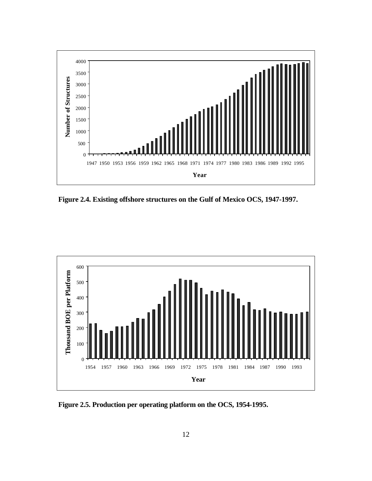

 **Figure 2.4. Existing offshore structures on the Gulf of Mexico OCS, 1947-1997.**



**Figure 2.5. Production per operating platform on the OCS, 1954-1995.**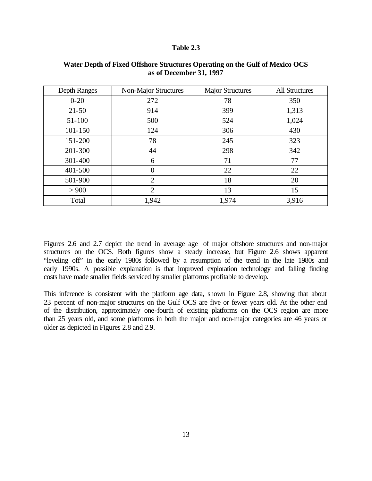#### **Table 2.3**

| Depth Ranges | <b>Non-Major Structures</b> | <b>Major Structures</b> | <b>All Structures</b> |
|--------------|-----------------------------|-------------------------|-----------------------|
| $0 - 20$     | 272                         | 78                      | 350                   |
| $21 - 50$    | 914                         | 399                     | 1,313                 |
| $51 - 100$   | 500                         | 524                     | 1,024                 |
| $101 - 150$  | 124                         | 306                     | 430                   |
| 151-200      | 78                          | 245                     | 323                   |
| 201-300      | 44                          | 298                     | 342                   |
| 301-400      | 6                           | 71                      | 77                    |
| 401-500      | $\overline{0}$              | 22                      | 22                    |
| 501-900      | $\overline{2}$              | 18                      | 20                    |
| > 900        | $\overline{2}$              | 13                      | 15                    |
| Total        | 1,942                       | 1,974                   | 3,916                 |

#### **Water Depth of Fixed Offshore Structures Operating on the Gulf of Mexico OCS as of December 31, 1997**

Figures 2.6 and 2.7 depict the trend in average age of major offshore structures and non-major structures on the OCS. Both figures show a steady increase, but Figure 2.6 shows apparent "leveling off" in the early 1980s followed by a resumption of the trend in the late 1980s and early 1990s. A possible explanation is that improved exploration technology and falling finding costs have made smaller fields serviced by smaller platforms profitable to develop.

This inference is consistent with the platform age data, shown in Figure 2.8, showing that about 23 percent of non-major structures on the Gulf OCS are five or fewer years old. At the other end of the distribution, approximately one-fourth of existing platforms on the OCS region are more than 25 years old, and some platforms in both the major and non-major categories are 46 years or older as depicted in Figures 2.8 and 2.9.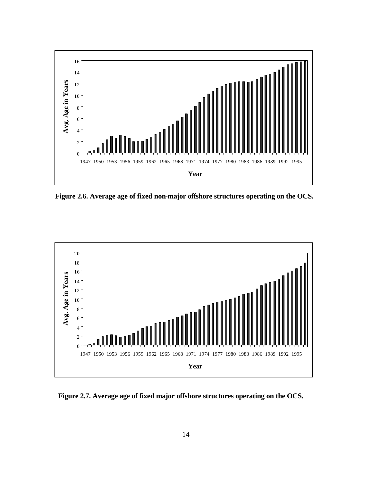

**Figure 2.6. Average age of fixed non-major offshore structures operating on the OCS.**



**Figure 2.7. Average age of fixed major offshore structures operating on the OCS.**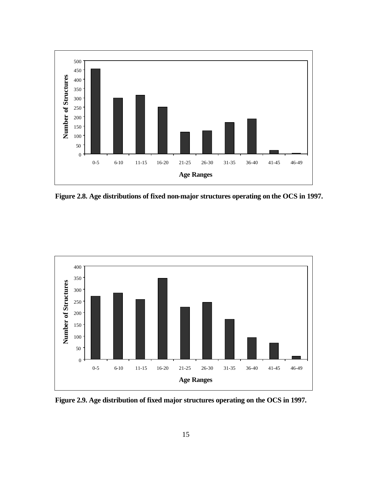

**Figure 2.8. Age distributions of fixed non-major structures operating on the OCS in 1997.**



**Figure 2.9. Age distribution of fixed major structures operating on the OCS in 1997.**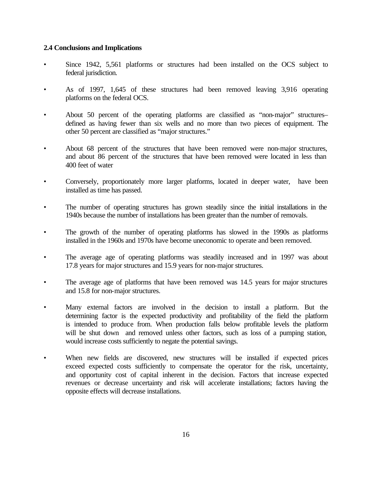#### **2.4 Conclusions and Implications**

- Since 1942, 5,561 platforms or structures had been installed on the OCS subject to federal jurisdiction.
- As of 1997, 1,645 of these structures had been removed leaving 3,916 operating platforms on the federal OCS.
- About 50 percent of the operating platforms are classified as "non-major" structures– defined as having fewer than six wells and no more than two pieces of equipment. The other 50 percent are classified as "major structures."
- About 68 percent of the structures that have been removed were non-major structures, and about 86 percent of the structures that have been removed were located in less than 400 feet of water
- Conversely, proportionately more larger platforms, located in deeper water, have been installed as time has passed.
- The number of operating structures has grown steadily since the initial installations in the 1940s because the number of installations has been greater than the number of removals.
- The growth of the number of operating platforms has slowed in the 1990s as platforms installed in the 1960s and 1970s have become uneconomic to operate and been removed.
- The average age of operating platforms was steadily increased and in 1997 was about 17.8 years for major structures and 15.9 years for non-major structures.
- The average age of platforms that have been removed was 14.5 years for major structures and 15.8 for non-major structures.
- Many external factors are involved in the decision to install a platform. But the determining factor is the expected productivity and profitability of the field the platform is intended to produce from. When production falls below profitable levels the platform will be shut down and removed unless other factors, such as loss of a pumping station, would increase costs sufficiently to negate the potential savings.
- When new fields are discovered, new structures will be installed if expected prices exceed expected costs sufficiently to compensate the operator for the risk, uncertainty, and opportunity cost of capital inherent in the decision. Factors that increase expected revenues or decrease uncertainty and risk will accelerate installations; factors having the opposite effects will decrease installations.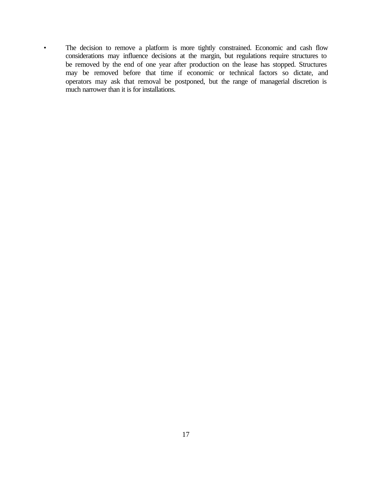• The decision to remove a platform is more tightly constrained. Economic and cash flow considerations may influence decisions at the margin, but regulations require structures to be removed by the end of one year after production on the lease has stopped. Structures may be removed before that time if economic or technical factors so dictate, and operators may ask that removal be postponed, but the range of managerial discretion is much narrower than it is for installations.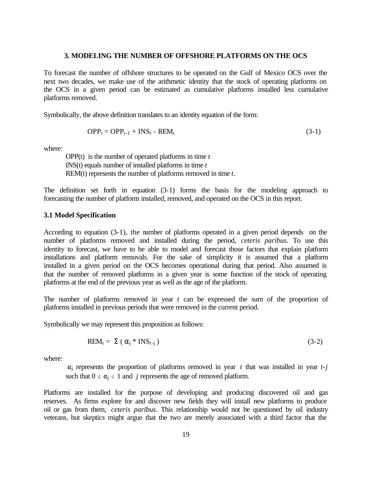#### **3. MODELING THE NUMBER OF OFFSHORE PLATFORMS ON THE OCS**

To forecast the number of offshore structures to be operated on the Gulf of Mexico OCS over the next two decades, we make use of the arithmetic identity that the stock of operating platforms on the OCS in a given period can be estimated as cumulative platforms installed less cumulative platforms removed.

Symbolically, the above definition translates to an identity equation of the form:

$$
OPP_t = OPP_{t-1} + INS_t - REM_t \tag{3-1}
$$

where:

OPP(t) is the number of operated platforms in time *t*  INS(t) equals number of installed platforms in time *t*  REM(t) represents the number of platforms removed in time *t*.

The definition set forth in equation (3-1) forms the basis for the modeling approach to forecasting the number of platform installed, removed, and operated on the OCS in this report.

#### **3.1 Model Specification**

According to equation (3-1), the number of platforms operated in a given period depends on the number of platforms removed and installed during the period, *ceteris paribus.* To use this identity to forecast, we have to be able to model and forecast those factors that explain platform installations and platform removals. For the sake of simplicity it is assumed that a platform installed in a given period on the OCS becomes operational during that period. Also assumed is that the number of removed platforms in a given year is some function of the stock of operating platforms at the end of the previous year as well as the age of the platform.

The number of platforms removed in year *t* can be expressed the sum of the proportion of platforms installed in previous periods that were removed in the current period.

Symbolically we may represent this proposition as follows:

$$
REM_t = \Sigma (\alpha_j * INS_{t-j})
$$
\n(3-2)

where:

 $\alpha_i$  represents the proportion of platforms removed in year *t* that was installed in year *t*-*j* such that  $0 \le \alpha_i \le 1$  and *j* represents the age of removed platform.

Platforms are installed for the purpose of developing and producing discovered oil and gas reserves. As firms explore for and discover new fields they will install new platforms to produce oil or gas from them, *ceteris paribus*. This relationship would not be questioned by oil industry veterans, but skeptics might argue that the two are merely associated with a third factor that the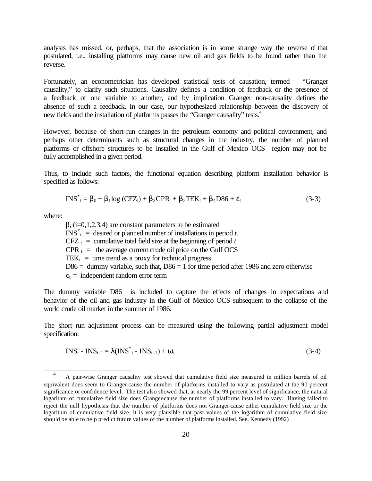analysts has missed, or, perhaps, that the association is in some strange way the reverse of that postulated, i.e., installing platforms may cause new oil and gas fields to be found rather than the reverse.

Fortunately, an econometrician has developed statistical tests of causation, termed "Granger causality," to clarify such situations. Causality defines a condition of feedback or the presence of a feedback of one variable to another, and by implication Granger non-causality defines the absence of such a feedback. In our case, our hypothesized relationship between the discovery of new fields and the installation of platforms passes the "Granger causality" tests.<sup>4</sup>

However, because of short-run changes in the petroleum economy and political environment, and perhaps other determinants such as structural changes in the industry, the number of planned platforms or offshore structures to be installed in the Gulf of Mexico OCS region may not be fully accomplished in a given period.

Thus, to include such factors, the functional equation describing platform installation behavior is specified as follows:

$$
INS_{t}^{*} = \beta_{0} + \beta_{1} log (CFZ_{t}) + \beta_{2} CPR_{t} + \beta_{3} TEK_{t} + \beta_{4} D86 + \varepsilon_{t}
$$
\n(3-3)

where:

l

 $\beta_i$  (i=0,1,2,3,4) are constant parameters to be estimated  $\text{INS}^*$ <sub>t</sub> = desired or planned number of installations in period *t*.  $CFZ_t$  = cumulative total field size at the beginning of period *t*  $CPR_t$  = the average current crude oil price on the Gulf OCS TEK<sub>t</sub> = time trend as a proxy for technical progress  $D86 =$  dummy variable, such that,  $D86 = 1$  for time period after 1986 and zero otherwise  $\epsilon_t$  = independent random error term

The dummy variable D86 is included to capture the effects of changes in expectations and behavior of the oil and gas industry in the Gulf of Mexico OCS subsequent to the collapse of the world crude oil market in the summer of 1986.

The short run adjustment process can be measured using the following partial adjustment model specification:

$$
INS_t - INS_{t-1} = \lambda (INS_{t}^* - INS_{t-1}) + \omega_t
$$
\n(3-4)

 <sup>4</sup> A pair-wise Granger causality test showed that cumulative field size measured in million barrels of oil equivalent does seem to Granger-cause the number of platforms installed to vary as postulated at the 90 percent significance or confidence level. The test also showed that, at nearly the 99 percent level of significance, the natural logarithm of cumulative field size does Granger-cause the number of platforms installed to vary. Having failed to reject the null hypothesis that the number of platforms does not Granger-cause either cumulative field size or the logarithm of cumulative field size, it is very plausible that past values of the logarithm of cumulative field size should be able to help predict future values of the number of platforms installed. See, Kennedy (1992)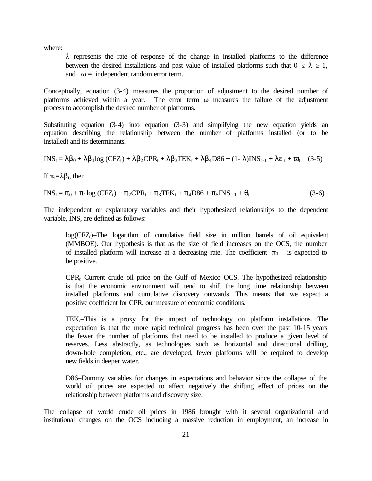where:

 $\lambda$  represents the rate of response of the change in installed platforms to the difference between the desired installations and past value of installed platforms such that  $0 \le \lambda \ge 1$ , and  $\omega$  = independent random error term.

Conceptually, equation (3-4) measures the proportion of adjustment to the desired number of platforms achieved within a year. The error term  $\omega$  measures the failure of the adjustment process to accomplish the desired number of platforms.

Substituting equation (3-4) into equation (3-3) and simplifying the new equation yields an equation describing the relationship between the number of platforms installed (or to be installed) and its determinants.

$$
INS_{t} = \lambda \beta_{0} + \lambda \beta_{1} log (C FZ_{t}) + \lambda \beta_{2} CPR_{t} + \lambda \beta_{3} TEK_{t} + \lambda \beta_{4} D86 + (1 - \lambda)INS_{t-1} + \lambda \epsilon_{t} + \varpi_{t} \quad (3-5)
$$

If  $\pi_i = \lambda \beta_i$ , then

 $INS_{t} = \pi_0 + \pi_1 log (CFZ_{t}) + \pi_2 CPR_{t} + \pi_3 TEK_{t} + \pi_4 D86 + \pi_5INS_{t-1} + \theta_t$  (3-6)

The independent or explanatory variables and their hypothesized relationships to the dependent variable, INS, are defined as follows:

log(CFZ*t*)–The logarithm of cumulative field size in million barrels of oil equivalent (MMBOE). Our hypothesis is that as the size of field increases on the OCS, the number of installed platform will increase at a decreasing rate. The coefficient  $\pi_1$  is expected to be positive.

CPR*t*–Current crude oil price on the Gulf of Mexico OCS. The hypothesized relationship is that the economic environment will tend to shift the long time relationship between installed platforms and cumulative discovery outwards. This means that we expect a positive coefficient for CPR, our measure of economic conditions.

TEK<sub> $t$ </sub>–This is a proxy for the impact of technology on platform installations. The expectation is that the more rapid technical progress has been over the past 10-15 years the fewer the number of platforms that need to be installed to produce a given level of reserves. Less abstractly, as technologies such as horizontal and directional drilling, down-hole completion, etc., are developed, fewer platforms will be required to develop new fields in deeper water.

D86–Dummy variables for changes in expectations and behavior since the collapse of the world oil prices are expected to affect negatively the shifting effect of prices on the relationship between platforms and discovery size.

The collapse of world crude oil prices in 1986 brought with it several organizational and institutional changes on the OCS including a massive reduction in employment, an increase in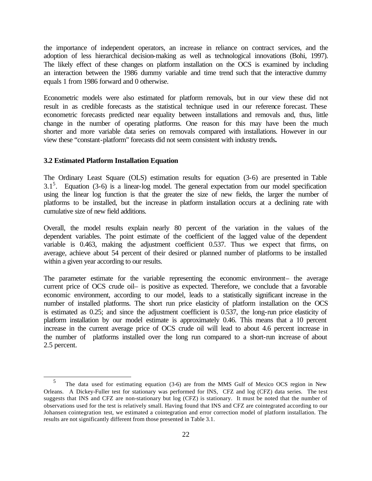the importance of independent operators, an increase in reliance on contract services, and the adoption of less hierarchical decision-making as well as technological innovations (Bohi, 1997). The likely effect of these changes on platform installation on the OCS is examined by including an interaction between the 1986 dummy variable and time trend such that the interactive dummy equals 1 from 1986 forward and 0 otherwise.

Econometric models were also estimated for platform removals, but in our view these did not result in as credible forecasts as the statistical technique used in our reference forecast. These econometric forecasts predicted near equality between installations and removals and, thus, little change in the number of operating platforms. One reason for this may have been the much shorter and more variable data series on removals compared with installations. However in our view these "constant-platform" forecasts did not seem consistent with industry trends**.**

#### **3.2 Estimated Platform Installation Equation**

l

The Ordinary Least Square (OLS) estimation results for equation (3-6) are presented in Table  $3.1<sup>5</sup>$ . Equation (3-6) is a linear-log model. The general expectation from our model specification using the linear log function is that the greater the size of new fields, the larger the number of platforms to be installed, but the increase in platform installation occurs at a declining rate with cumulative size of new field additions.

Overall, the model results explain nearly 80 percent of the variation in the values of the dependent variables. The point estimate of the coefficient of the lagged value of the dependent variable is 0.463, making the adjustment coefficient 0.537. Thus we expect that firms, on average, achieve about 54 percent of their desired or planned number of platforms to be installed within a given year according to our results.

The parameter estimate for the variable representing the economic environment– the average current price of OCS crude oil– is positive as expected. Therefore, we conclude that a favorable economic environment, according to our model, leads to a statistically significant increase in the number of installed platforms. The short run price elasticity of platform installation on the OCS is estimated as 0.25; and since the adjustment coefficient is 0.537, the long-run price elasticity of platform installation by our model estimate is approximately 0.46. This means that a 10 percent increase in the current average price of OCS crude oil will lead to about 4.6 percent increase in the number of platforms installed over the long run compared to a short-run increase of about 2.5 percent.

 <sup>5</sup> The data used for estimating equation (3-6) are from the MMS Gulf of Mexico OCS region in New Orleans. A Dickey-Fuller test for stationary was performed for INS, CFZ and log (CFZ) data series. The test suggests that INS and CFZ are non-stationary but log (CFZ) is stationary. It must be noted that the number of observations used for the test is relatively small. Having found that INS and CFZ are cointegrated according to our Johansen cointegration test, we estimated a cointegration and error correction model of platform installation. The results are not significantly different from those presented in Table 3.1.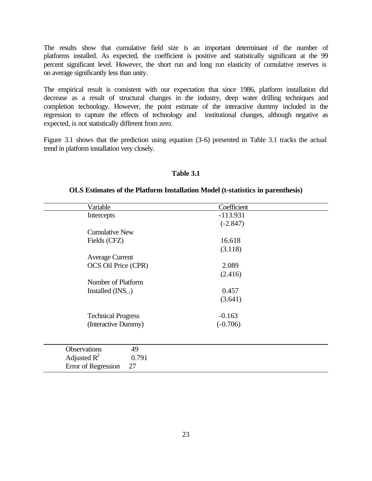The results show that cumulative field size is an important determinant of the number of platforms installed. As expected, the coefficient is positive and statistically significant at the 99 percent significant level. However, the short run and long run elasticity of cumulative reserves is on average significantly less than unity.

The empirical result is consistent with our expectation that since 1986, platform installation did decrease as a result of structural changes in the industry, deep water drilling techniques and completion technology. However, the point estimate of the interactive dummy included in the regression to capture the effects of technology and institutional changes, although negative as expected, is not statistically different from zero.

Figure 3.1 shows that the prediction using equation (3-6) presented in Table 3.1 tracks the actual trend in platform installation very closely.

#### **Table 3.1**

#### **OLS Estimates of the Platform Installation Model (t-statistics in parenthesis)**

| Variable                  | Coefficient |  |
|---------------------------|-------------|--|
| Intercepts                | $-113.931$  |  |
|                           | $(-2.847)$  |  |
| <b>Cumulative New</b>     |             |  |
| Fields (CFZ)              | 16.618      |  |
|                           | (3.118)     |  |
| <b>Average Current</b>    |             |  |
| OCS Oil Price (CPR)       | 2.089       |  |
|                           | (2.416)     |  |
| Number of Platform        |             |  |
| Installed $(INS_{t-1})$   | 0.457       |  |
|                           | (3.641)     |  |
|                           |             |  |
| <b>Technical Progress</b> | $-0.163$    |  |
| (Interactive Dummy)       | $(-0.706)$  |  |
|                           |             |  |
|                           |             |  |
| <b>Observations</b><br>49 |             |  |
| Adjusted $R^2$<br>0.791   |             |  |
| Error of Regression<br>27 |             |  |
|                           |             |  |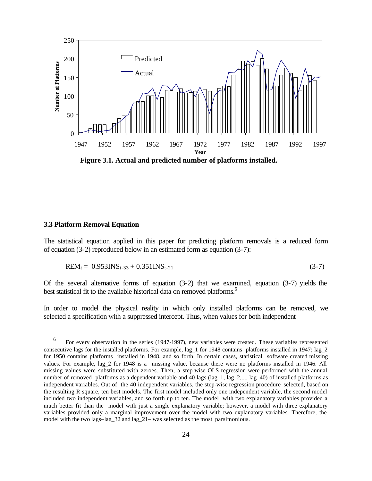

**Figure 3.1. Actual and predicted number of platforms installed.** 

#### **3.3 Platform Removal Equation**

l

The statistical equation applied in this paper for predicting platform removals is a reduced form of equation (3-2) reproduced below in an estimated form as equation (3-7):

$$
REM_t = 0.953INS_{t-33} + 0.351INS_{t-21}
$$
 (3-7)

Of the several alternative forms of equation  $(3-2)$  that we examined, equation  $(3-7)$  yields the best statistical fit to the available historical data on removed platforms.<sup>6</sup>

In order to model the physical reality in which only installed platforms can be removed, we selected a specification with a suppressed intercept. Thus, when values for both independent

 <sup>6</sup> For every observation in the series (1947-1997), new variables were created. These variables represented consecutive lags for the installed platforms. For example, lag\_1 for 1948 contains platforms installed in 1947; lag\_2 for 1950 contains platforms installed in 1948, and so forth. In certain cases, statistical software created missing values. For example, lag\_2 for 1948 is a missing value, because there were no platforms installed in 1946. All missing values were substituted with zeroes. Then, a step-wise OLS regression were performed with the annual number of removed platforms as a dependent variable and 40 lags (lag\_1, lag\_2,..., lag\_40) of installed platforms as independent variables. Out of the 40 independent variables, the step-wise regression procedure selected, based on the resulting R square, ten best models. The first model included only one independent variable, the second model included two independent variables, and so forth up to ten. The model with two explanatory variables provided a much better fit than the model with just a single explanatory variable; however, a model with three explanatory variables provided only a marginal improvement over the model with two explanatory variables. Therefore, the model with the two lags–lag\_32 and lag\_21– was selected as the most parsimonious.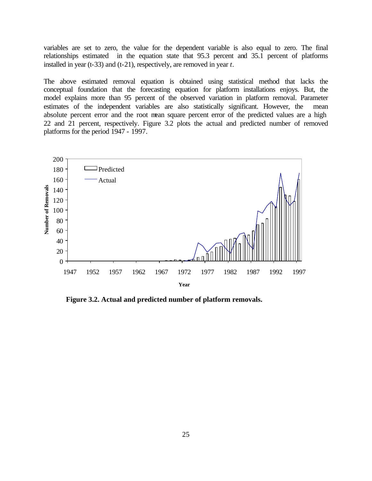variables are set to zero, the value for the dependent variable is also equal to zero. The final relationships estimated in the equation state that 95.3 percent and 35.1 percent of platforms installed in year (t-33) and (t-21), respectively, are removed in year *t*.

The above estimated removal equation is obtained using statistical method that lacks the conceptual foundation that the forecasting equation for platform installations enjoys. But, the model explains more than 95 percent of the observed variation in platform removal. Parameter estimates of the independent variables are also statistically significant. However, the mean absolute percent error and the root mean square percent error of the predicted values are a high 22 and 21 percent, respectively. Figure 3.2 plots the actual and predicted number of removed platforms for the period 1947 - 1997.



**Figure 3.2. Actual and predicted number of platform removals.**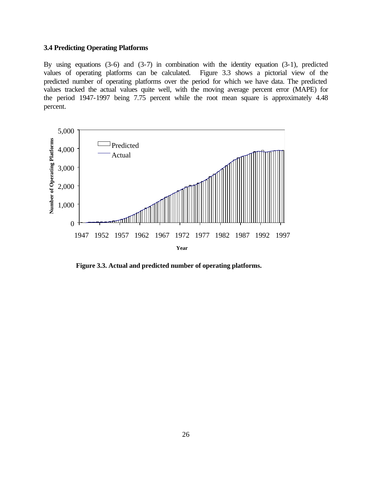#### **3.4 Predicting Operating Platforms**

By using equations (3-6) and (3-7) in combination with the identity equation (3-1), predicted values of operating platforms can be calculated. Figure 3.3 shows a pictorial view of the predicted number of operating platforms over the period for which we have data. The predicted values tracked the actual values quite well, with the moving average percent error (MAPE) for the period 1947-1997 being 7.75 percent while the root mean square is approximately 4.48 percent.



**Figure 3.3. Actual and predicted number of operating platforms.**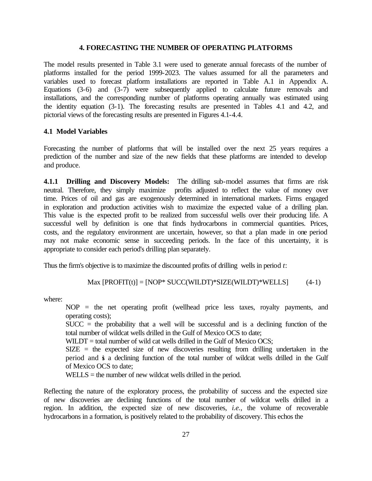#### **4. FORECASTING THE NUMBER OF OPERATING PLATFORMS**

The model results presented in Table 3.1 were used to generate annual forecasts of the number of platforms installed for the period 1999-2023. The values assumed for all the parameters and variables used to forecast platform installations are reported in Table A.1 in Appendix A. Equations (3-6) and (3-7) were subsequently applied to calculate future removals and installations, and the corresponding number of platforms operating annually was estimated using the identity equation (3-1). The forecasting results are presented in Tables 4.1 and 4.2, and pictorial views of the forecasting results are presented in Figures 4.1-4.4.

#### **4.1 Model Variables**

Forecasting the number of platforms that will be installed over the next 25 years requires a prediction of the number and size of the new fields that these platforms are intended to develop and produce.

**4.1.1 Drilling and Discovery Models:** The drilling sub-model assumes that firms are risk neutral. Therefore, they simply maximize profits adjusted to reflect the value of money over time. Prices of oil and gas are exogenously determined in international markets. Firms engaged in exploration and production activities wish to maximize the expected value of a drilling plan. This value is the expected profit to be realized from successful wells over their producing life. A successful well by definition is one that finds hydrocarbons in commercial quantities. Prices, costs, and the regulatory environment are uncertain, however, so that a plan made in one period may not make economic sense in succeeding periods. In the face of this uncertainty, it is appropriate to consider each period's drilling plan separately.

Thus the firm's objective is to maximize the discounted profits of drilling wells in period *t*:

$$
Max [PROFIT(t)] = [NOP* SUCC(WILDT)*SIZE(WILDT)*WELLS] \tag{4-1}
$$

where:

NOP = the net operating profit (wellhead price less taxes, royalty payments, and operating costs);

SUCC = the probability that a well will be successful and is a declining function of the total number of wildcat wells drilled in the Gulf of Mexico OCS to date;

 $WILDT = total number of wild cat wells drilled in the Gulf of Mexico OCS;$ 

 $SIZE$  = the expected size of new discoveries resulting from drilling undertaken in the period and is a declining function of the total number of wildcat wells drilled in the Gulf of Mexico OCS to date;

WELLS = the number of new wildcat wells drilled in the period.

Reflecting the nature of the exploratory process, the probability of success and the expected size of new discoveries are declining functions of the total number of wildcat wells drilled in a region. In addition, the expected size of new discoveries, *i.e.*, the volume of recoverable hydrocarbons in a formation, is positively related to the probability of discovery. This echos the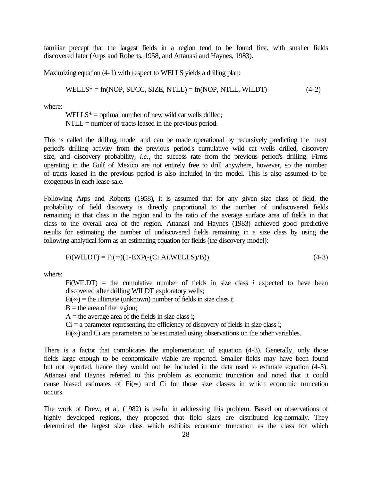familiar precept that the largest fields in a region tend to be found first, with smaller fields discovered later (Arps and Roberts, 1958, and Attanasi and Haynes, 1983).

Maximizing equation (4-1) with respect to WELLS yields a drilling plan:

$$
WELLS^* = fn(NOP, SUCC, SIZE, NTLL) = fn(ROP, NTLL, WILDT)
$$
\n
$$
(4-2)
$$

where:

 $WELLS^* =$  optimal number of new wild cat wells drilled; NTLL = number of tracts leased in the previous period.

This is called the drilling model and can be made operational by recursively predicting the next period's drilling activity from the previous period's cumulative wild cat wells drilled, discovery size, and discovery probability, *i.e.*, the success rate from the previous period's drilling. Firms operating in the Gulf of Mexico are not entirely free to drill anywhere, however, so the number of tracts leased in the previous period is also included in the model. This is also assumed to be exogenous in each lease sale.

Following Arps and Roberts (1958), it is assumed that for any given size class of field, the probability of field discovery is directly proportional to the number of undiscovered fields remaining in that class in the region and to the ratio of the average surface area of fields in that class to the overall area of the region. Attanasi and Haynes (1983) achieved good predictive results for estimating the number of undiscovered fields remaining in a size class by using the following analytical form as an estimating equation for fields (the discovery model):

$$
Fi(WILDT) = Fi(\infty)(1-EXP(-(Ci.Ai.WELLS)/B))
$$
\n(4-3)

where:

 $Fi(WILDT)$  = the cumulative number of fields in size class *i* expected to have been discovered after drilling WILDT exploratory wells;

 $Fi(\infty)$  = the ultimate (unknown) number of fields in size class i;

 $B =$  the area of the region;

 $A =$  the average area of the fields in size class i;

 $Ci = a$  parameter representing the efficiency of discovery of fields in size class i;

 $Fi(\infty)$  and Ci are parameters to be estimated using observations on the other variables.

There is a factor that complicates the implementation of equation  $(4-3)$ . Generally, only those fields large enough to be economically viable are reported. Smaller fields may have been found but not reported, hence they would not be included in the data used to estimate equation (4-3). Attanasi and Haynes referred to this problem as economic truncation and noted that it could cause biased estimates of  $Fi(\infty)$  and Ci for those size classes in which economic truncation occurs.

The work of Drew, et al. (1982) is useful in addressing this problem. Based on observations of highly developed regions, they proposed that field sizes are distributed log-normally. They determined the largest size class which exhibits economic truncation as the class for which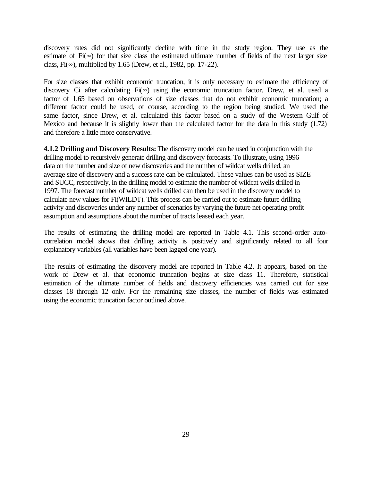discovery rates did not significantly decline with time in the study region. They use as the estimate of  $Fi(\infty)$  for that size class the estimated ultimate number of fields of the next larger size class, Fi( $\infty$ ), multiplied by 1.65 (Drew, et al., 1982, pp. 17-22).

For size classes that exhibit economic truncation, it is only necessary to estimate the efficiency of discovery Ci after calculating  $Fi(\infty)$  using the economic truncation factor. Drew, et al. used a factor of 1.65 based on observations of size classes that do not exhibit economic truncation; a different factor could be used, of course, according to the region being studied. We used the same factor, since Drew, et al. calculated this factor based on a study of the Western Gulf of Mexico and because it is slightly lower than the calculated factor for the data in this study (1.72) and therefore a little more conservative.

**4.1.2 Drilling and Discovery Results:** The discovery model can be used in conjunction with the drilling model to recursively generate drilling and discovery forecasts. To illustrate, using 1996 data on the number and size of new discoveries and the number of wildcat wells drilled, an average size of discovery and a success rate can be calculated. These values can be used as SIZE and SUCC, respectively, in the drilling model to estimate the number of wildcat wells drilled in 1997. The forecast number of wildcat wells drilled can then be used in the discovery model to calculate new values for Fi(WILDT). This process can be carried out to estimate future drilling activity and discoveries under any number of scenarios by varying the future net operating profit assumption and assumptions about the number of tracts leased each year.

The results of estimating the drilling model are reported in Table 4.1. This second-order autocorrelation model shows that drilling activity is positively and significantly related to all four explanatory variables (all variables have been lagged one year).

The results of estimating the discovery model are reported in Table 4.2. It appears, based on the work of Drew et al. that economic truncation begins at size class 11. Therefore, statistical estimation of the ultimate number of fields and discovery efficiencies was carried out for size classes 18 through 12 only. For the remaining size classes, the number of fields was estimated using the economic truncation factor outlined above.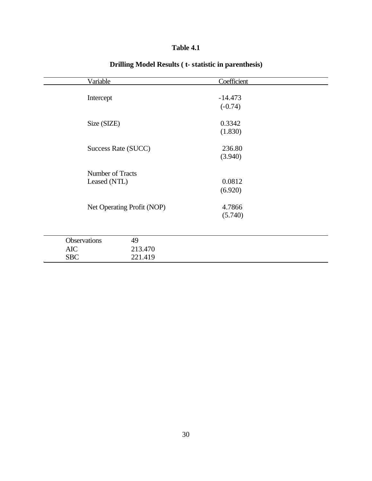| <b>Table</b> : | 4.1 |
|----------------|-----|
|----------------|-----|

| Variable            |                            | Coefficient |  |
|---------------------|----------------------------|-------------|--|
|                     |                            |             |  |
| Intercept           |                            | $-14.473$   |  |
|                     |                            | $(-0.74)$   |  |
|                     |                            |             |  |
| Size (SIZE)         |                            | 0.3342      |  |
|                     |                            | (1.830)     |  |
| Success Rate (SUCC) |                            | 236.80      |  |
|                     |                            | (3.940)     |  |
|                     |                            |             |  |
| Number of Tracts    |                            |             |  |
| Leased (NTL)        |                            | 0.0812      |  |
|                     |                            | (6.920)     |  |
|                     |                            |             |  |
|                     | Net Operating Profit (NOP) | 4.7866      |  |
|                     |                            | (5.740)     |  |
|                     |                            |             |  |
|                     |                            |             |  |
| <b>Observations</b> | 49                         |             |  |
| <b>AIC</b>          | 213.470                    |             |  |
| <b>SBC</b>          | 221.419                    |             |  |

# **Drilling Model Results ( t- statistic in parenthesis)**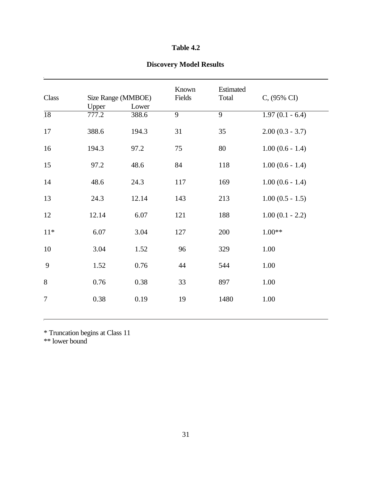## **Table 4.2**

# **Discovery Model Results**

| Class           |       | Size Range (MMBOE) | Known<br>Fields | Estimated<br>Total | C, (95% CI)        |
|-----------------|-------|--------------------|-----------------|--------------------|--------------------|
|                 | Upper | Lower              |                 |                    |                    |
| $\overline{18}$ | 777.2 | 388.6              | $\overline{9}$  | $\overline{9}$     | $1.97(0.1 - 6.4)$  |
| 17              | 388.6 | 194.3              | 31              | 35                 | $2.00(0.3 - 3.7)$  |
| 16              | 194.3 | 97.2               | 75              | 80                 | $1.00(0.6 - 1.4)$  |
| 15              | 97.2  | 48.6               | 84              | 118                | $1.00(0.6 - 1.4)$  |
| 14              | 48.6  | 24.3               | 117             | 169                | $1.00(0.6 - 1.4)$  |
| 13              | 24.3  | 12.14              | 143             | 213                | $1.00 (0.5 - 1.5)$ |
| 12              | 12.14 | 6.07               | 121             | 188                | $1.00(0.1 - 2.2)$  |
| $11*$           | 6.07  | 3.04               | 127             | 200                | $1.00**$           |
| 10              | 3.04  | 1.52               | 96              | 329                | 1.00               |
| 9               | 1.52  | 0.76               | 44              | 544                | 1.00               |
| 8               | 0.76  | 0.38               | 33              | 897                | 1.00               |
| $\overline{7}$  | 0.38  | 0.19               | 19              | 1480               | 1.00               |

\* Truncation begins at Class 11

\*\* lower bound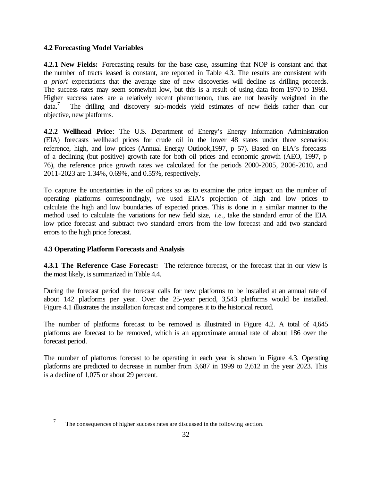## **4.2 Forecasting Model Variables**

**4.2.1 New Fields:** Forecasting results for the base case, assuming that NOP is constant and that the number of tracts leased is constant, are reported in Table 4.3. The results are consistent with *a priori* expectations that the average size of new discoveries will decline as drilling proceeds. The success rates may seem somewhat low, but this is a result of using data from 1970 to 1993. Higher success rates are a relatively recent phenomenon, thus are not heavily weighted in the  $data.'$  The drilling and discovery sub-models yield estimates of new fields rather than our objective, new platforms.

**4.2.2 Wellhead Price**: The U.S. Department of Energy's Energy Information Administration (EIA) forecasts wellhead prices for crude oil in the lower 48 states under three scenarios: reference, high, and low prices (Annual Energy Outlook,1997, p 57). Based on EIA's forecasts of a declining (but positive) growth rate for both oil prices and economic growth (AEO, 1997, p 76), the reference price growth rates we calculated for the periods 2000-2005, 2006-2010, and 2011-2023 are 1.34%, 0.69%, and 0.55%, respectively.

To capture the uncertainties in the oil prices so as to examine the price impact on the number of operating platforms correspondingly, we used EIA's projection of high and low prices to calculate the high and low boundaries of expected prices. This is done in a similar manner to the method used to calculate the variations for new field size, *i.e.*, take the standard error of the EIA low price forecast and subtract two standard errors from the low forecast and add two standard errors to the high price forecast.

## **4.3 Operating Platform Forecasts and Analysis**

l

**4.3.1 The Reference Case Forecast:** The reference forecast, or the forecast that in our view is the most likely, is summarized in Table 4.4.

During the forecast period the forecast calls for new platforms to be installed at an annual rate of about 142 platforms per year. Over the 25-year period, 3,543 platforms would be installed. Figure 4.1 illustrates the installation forecast and compares it to the historical record.

The number of platforms forecast to be removed is illustrated in Figure 4.2. A total of 4,645 platforms are forecast to be removed, which is an approximate annual rate of about 186 over the forecast period.

The number of platforms forecast to be operating in each year is shown in Figure 4.3. Operating platforms are predicted to decrease in number from 3,687 in 1999 to 2,612 in the year 2023. This is a decline of 1,075 or about 29 percent.

 <sup>7</sup> The consequences of higher success rates are discussed in the following section.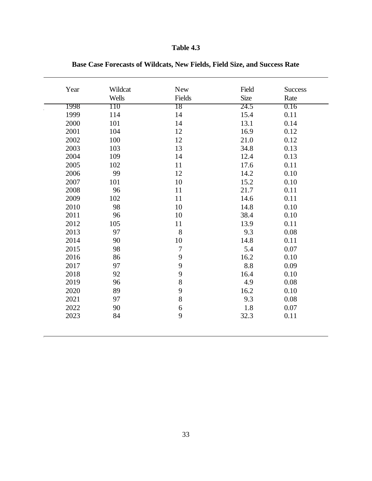# **Table 4.3**

| Year | Wildcat | <b>New</b>       | Field       | <b>Success</b> |
|------|---------|------------------|-------------|----------------|
|      | Wells   | Fields           | <b>Size</b> | Rate           |
| 1998 | 110     | 18               | 24.5        | 0.16           |
| 1999 | 114     | 14               | 15.4        | 0.11           |
| 2000 | 101     | 14               | 13.1        | 0.14           |
| 2001 | 104     | 12               | 16.9        | 0.12           |
| 2002 | 100     | 12               | 21.0        | 0.12           |
| 2003 | 103     | 13               | 34.8        | 0.13           |
| 2004 | 109     | 14               | 12.4        | 0.13           |
| 2005 | 102     | 11               | 17.6        | 0.11           |
| 2006 | 99      | 12               | 14.2        | 0.10           |
| 2007 | 101     | 10               | 15.2        | 0.10           |
| 2008 | 96      | 11               | 21.7        | 0.11           |
| 2009 | 102     | 11               | 14.6        | 0.11           |
| 2010 | 98      | 10               | 14.8        | 0.10           |
| 2011 | 96      | 10               | 38.4        | 0.10           |
| 2012 | 105     | 11               | 13.9        | 0.11           |
| 2013 | 97      | 8                | 9.3         | 0.08           |
| 2014 | 90      | 10               | 14.8        | 0.11           |
| 2015 | 98      | $\overline{7}$   | 5.4         | 0.07           |
| 2016 | 86      | 9                | 16.2        | 0.10           |
| 2017 | 97      | 9                | 8.8         | 0.09           |
| 2018 | 92      | 9                | 16.4        | 0.10           |
| 2019 | 96      | 8                | 4.9         | 0.08           |
| 2020 | 89      | 9                | 16.2        | 0.10           |
| 2021 | 97      | 8                | 9.3         | 0.08           |
| 2022 | 90      | $\boldsymbol{6}$ | 1.8         | 0.07           |
| 2023 | 84      | 9                | 32.3        | 0.11           |

**Base Case Forecasts of Wildcats, New Fields, Field Size, and Success Rate**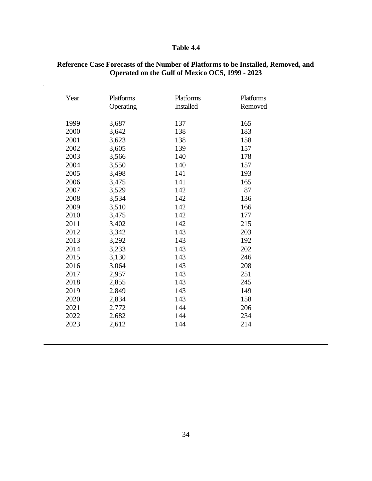## **Table 4.4**

| Year | <b>Platforms</b><br>Operating | Platforms<br><b>Installed</b> | <b>Platforms</b><br>Removed |  |
|------|-------------------------------|-------------------------------|-----------------------------|--|
| 1999 | 3,687                         | 137                           | 165                         |  |
| 2000 | 3,642                         | 138                           | 183                         |  |
| 2001 | 3,623                         | 138                           | 158                         |  |
| 2002 | 3,605                         | 139                           | 157                         |  |
| 2003 | 3,566                         | 140                           | 178                         |  |
| 2004 | 3,550                         | 140                           | 157                         |  |
| 2005 | 3,498                         | 141                           | 193                         |  |
| 2006 | 3,475                         | 141                           | 165                         |  |
| 2007 | 3,529                         | 142                           | 87                          |  |
| 2008 | 3,534                         | 142                           | 136                         |  |
| 2009 | 3,510                         | 142                           | 166                         |  |
| 2010 | 3,475                         | 142                           | 177                         |  |
| 2011 | 3,402                         | 142                           | 215                         |  |
| 2012 | 3,342                         | 143                           | 203                         |  |
| 2013 | 3,292                         | 143                           | 192                         |  |
| 2014 | 3,233                         | 143                           | 202                         |  |
| 2015 | 3,130                         | 143                           | 246                         |  |
| 2016 | 3,064                         | 143                           | 208                         |  |
| 2017 | 2,957                         | 143                           | 251                         |  |
| 2018 | 2,855                         | 143                           | 245                         |  |
| 2019 | 2,849                         | 143                           | 149                         |  |
| 2020 | 2,834                         | 143                           | 158                         |  |
| 2021 | 2,772                         | 144                           | 206                         |  |
| 2022 | 2,682                         | 144                           | 234                         |  |
| 2023 | 2,612                         | 144                           | 214                         |  |
|      |                               |                               |                             |  |

#### **Reference Case Forecasts of the Number of Platforms to be Installed, Removed, and Operated on the Gulf of Mexico OCS, 1999 - 2023**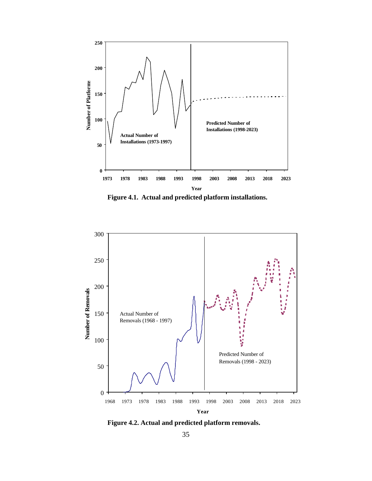

**Figure 4.1. Actual and predicted platform installations.**



**Figure 4.2. Actual and predicted platform removals.**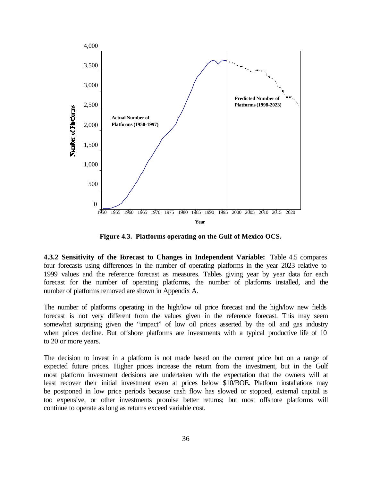

**Figure 4.3. Platforms operating on the Gulf of Mexico OCS.**

**4.3.2 Sensitivity of the Forecast to Changes in Independent Variable:** Table 4.5 compares four forecasts using differences in the number of operating platforms in the year 2023 relative to 1999 values and the reference forecast as measures. Tables giving year by year data for each forecast for the number of operating platforms, the number of platforms installed, and the number of platforms removed are shown in Appendix A.

The number of platforms operating in the high/low oil price forecast and the high/low new fields forecast is not very different from the values given in the reference forecast. This may seem somewhat surprising given the "impact" of low oil prices asserted by the oil and gas industry when prices decline. But offshore platforms are investments with a typical productive life of 10 to 20 or more years.

The decision to invest in a platform is not made based on the current price but on a range of expected future prices. Higher prices increase the return from the investment, but in the Gulf most platform investment decisions are undertaken with the expectation that the owners will at least recover their initial investment even at prices below \$10/BOE**.** Platform installations may be postponed in low price periods because cash flow has slowed or stopped, external capital is too expensive, or other investments promise better returns; but most offshore platforms will continue to operate as long as returns exceed variable cost.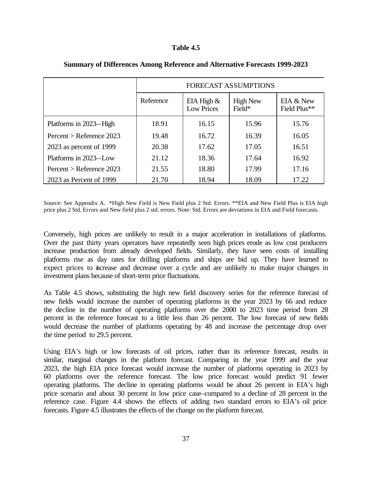#### **Table 4.5**

|                            | <b>FORECAST ASSUMPTIONS</b> |                                    |                           |                           |  |  |  |
|----------------------------|-----------------------------|------------------------------------|---------------------------|---------------------------|--|--|--|
|                            | Reference                   | EIA High $\&$<br><b>Low Prices</b> | <b>High New</b><br>Field* | EIA & New<br>Field Plus** |  |  |  |
| Platforms in 2023--High    | 18.91                       | 16.15                              | 15.96                     | 15.76                     |  |  |  |
| Percent > Reference $2023$ | 19.48                       | 16.72                              | 16.39                     | 16.05                     |  |  |  |
| 2023 as percent of 1999    | 20.38                       | 17.62                              | 17.05                     | 16.51                     |  |  |  |
| Platforms in 2023--Low     | 21.12                       | 18.36                              | 17.64                     | 16.92                     |  |  |  |
| Percent > Reference $2023$ | 21.55                       | 18.80                              | 17.99                     | 17.16                     |  |  |  |
| 2023 as Percent of 1999    | 21.70                       | 18.94                              | 18.09                     | 17.22                     |  |  |  |

#### **Summary of Differences Among Reference and Alternative Forecasts 1999-2023**

Source: See Appendix A. \*High New Field is New Field plus 2 Std. Errors. \*\*EIA and New Field Plus is EIA high price plus 2 Std. Errors and New field plus 2 std. errors. Note: Std. Errors are deviations in EIA and Field forecasts.

Conversely, high prices are unlikely to result in a major acceleration in installations of platforms. Over the past thirty years operators have repeatedly seen high prices erode as low cost producers increase production from already developed fields. Similarly, they have seen costs of installing platforms rise as day rates for drilling platforms and ships are bid up. They have learned to expect prices to increase and decrease over a cycle and are unlikely to make major changes in investment plans because of short-term price fluctuations.

As Table 4.5 shows, substituting the high new field discovery series for the reference forecast of new fields would increase the number of operating platforms in the year 2023 by 66 and reduce the decline in the number of operating platforms over the 2000 to 2023 time period from 28 percent in the reference forecast to a little less than 26 percent. The low forecast of new fields would decrease the number of platforms operating by 48 and increase the percentage drop over the time period to 29.5 percent.

Using EIA's high or low forecasts of oil prices, rather than its reference forecast, results in similar, marginal changes in the platform forecast. Comparing in the year 1999 and the year 2023, the high EIA price forecast would increase the number of platforms operating in 2023 by 60 platforms over the reference forecast. The low price forecast would predict 91 fewer operating platforms. The decline in operating platforms would be about 26 percent in EIA's high price scenario and about 30 percent in low price case–compared to a decline of 28 percent in the reference case. Figure 4.4 shows the effects of adding two standard errors to EIA's oil price forecasts. Figure 4.5 illustrates the effects of the change on the platform forecast.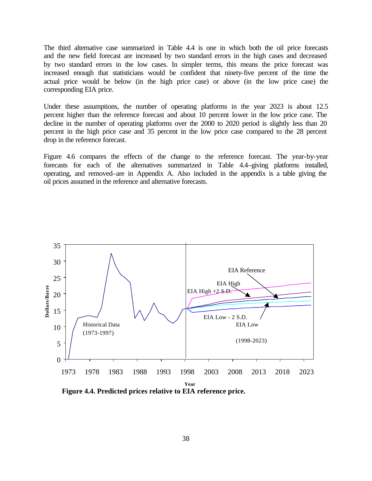The third alternative case summarized in Table 4.4 is one in which both the oil price forecasts and the new field forecast are increased by two standard errors in the high cases and decreased by two standard errors in the low cases. In simpler terms, this means the price forecast was increased enough that statisticians would be confident that ninety-five percent of the time the actual price would be below (in the high price case) or above (in the low price case) the corresponding EIA price.

Under these assumptions, the number of operating platforms in the year 2023 is about 12.5 percent higher than the reference forecast and about 10 percent lower in the low price case. The decline in the number of operating platforms over the 2000 to 2020 period is slightly less than 20 percent in the high price case and 35 percent in the low price case compared to the 28 percent drop in the reference forecast.

Figure 4.6 compares the effects of the change to the reference forecast. The year-by-year forecasts for each of the alternatives summarized in Table 4.4–giving platforms installed, operating, and removed–are in Appendix A. Also included in the appendix is a table giving the oil prices assumed in the reference and alternative forecasts.



**Figure 4.4. Predicted prices relative to EIA reference price.**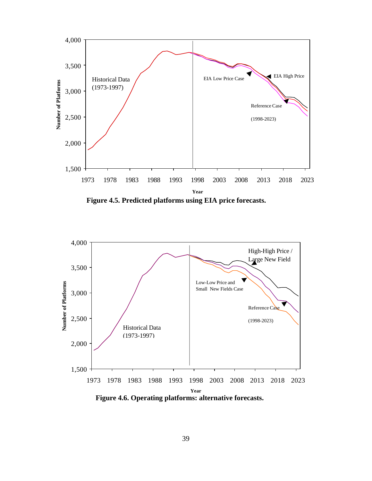

**Figure 4.5. Predicted platforms using EIA price forecasts.**



**Figure 4.6. Operating platforms: alternative forecasts.**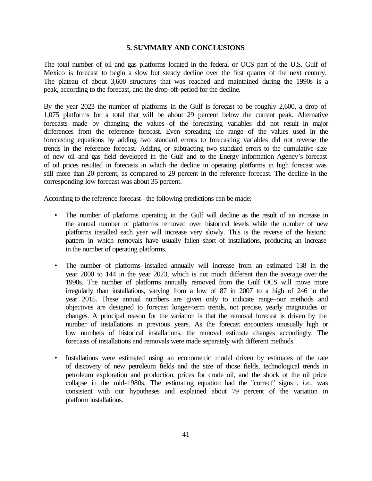#### **5. SUMMARY AND CONCLUSIONS**

The total number of oil and gas platforms located in the federal or OCS part of the U.S. Gulf of Mexico is forecast to begin a slow but steady decline over the first quarter of the next century. The plateau of about 3,600 structures that was reached and maintained during the 1990s is a peak, according to the forecast, and the drop-off-period for the decline.

By the year 2023 the number of platforms in the Gulf is forecast to be roughly 2,600, a drop of 1,075 platforms for a total that will be about 29 percent below the current peak. Alternative forecasts made by changing the values of the forecasting variables did not result in major differences from the reference forecast. Even spreading the range of the values used in the forecasting equations by adding two standard errors to forecasting variables did not reverse the trends in the reference forecast. Adding or subtracting two standard errors to the cumulative size of new oil and gas field developed in the Gulf and to the Energy Information Agency's forecast of oil prices resulted in forecasts in which the decline in operating platforms in high forecast was still more than 20 percent, as compared to 29 percent in the reference forecast. The decline in the corresponding low forecast was about 35 percent.

According to the reference forecast– the following predictions can be made:

- The number of platforms operating in the Gulf will decline as the result of an increase in the annual number of platforms removed over historical levels while the number of new platforms installed each year will increase very slowly. This is the reverse of the historic pattern in which removals have usually fallen short of installations, producing an increase in the number of operating platforms.
- The number of platforms installed annually will increase from an estimated 138 in the year 2000 to 144 in the year 2023, which is not much different than the average over the 1990s. The number of platforms annually removed from the Gulf OCS will move more irregularly than installations, varying from a low of 87 in 2007 to a high of 246 in the year 2015. These annual numbers are given only to indicate range–our methods and objectives are designed to forecast longer-term trends, not precise, yearly magnitudes or changes. A principal reason for the variation is that the removal forecast is driven by the number of installations in previous years. As the forecast encounters unusually high or low numbers of historical installations, the removal estimate changes accordingly. The forecasts of installations and removals were made separately with different methods.
- Installations were estimated using an econometric model driven by estimates of the rate of discovery of new petroleum fields and the size of those fields, technological trends in petroleum exploration and production, prices for crude oil, and the shock of the oil price collapse in the mid-1980s. The estimating equation had the "correct" signs , *i.e.*, was consistent with our hypotheses and explained about 79 percent of the variation in platform installations.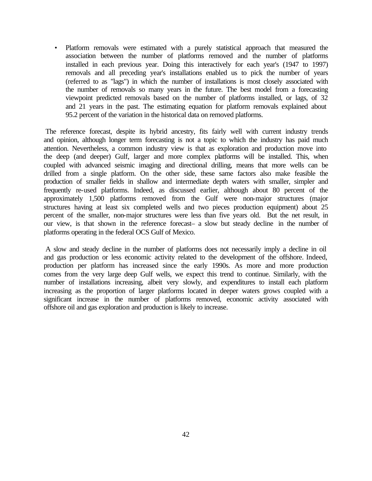• Platform removals were estimated with a purely statistical approach that measured the association between the number of platforms removed and the number of platforms installed in each previous year. Doing this interactively for each year's (1947 to 1997) removals and all preceding year's installations enabled us to pick the number of years (referred to as "lags") in which the number of installations is most closely associated with the number of removals so many years in the future. The best model from a forecasting viewpoint predicted removals based on the number of platforms installed, or lags, of 32 and 21 years in the past. The estimating equation for platform removals explained about 95.2 percent of the variation in the historical data on removed platforms.

The reference forecast, despite its hybrid ancestry, fits fairly well with current industry trends and opinion, although longer term forecasting is not a topic to which the industry has paid much attention. Nevertheless, a common industry view is that as exploration and production move into the deep (and deeper) Gulf, larger and more complex platforms will be installed. This, when coupled with advanced seismic imaging and directional drilling, means that more wells can be drilled from a single platform. On the other side, these same factors also make feasible the production of smaller fields in shallow and intermediate depth waters with smaller, simpler and frequently re-used platforms. Indeed, as discussed earlier, although about 80 percent of the approximately 1,500 platforms removed from the Gulf were non-major structures (major structures having at least six completed wells and two pieces production equipment) about 25 percent of the smaller, non-major structures were less than five years old. But the net result, in our view, is that shown in the reference forecast– a slow but steady decline in the number of platforms operating in the federal OCS Gulf of Mexico.

A slow and steady decline in the number of platforms does not necessarily imply a decline in oil and gas production or less economic activity related to the development of the offshore. Indeed, production per platform has increased since the early 1990s. As more and more production comes from the very large deep Gulf wells, we expect this trend to continue. Similarly, with the number of installations increasing, albeit very slowly, and expenditures to install each platform increasing as the proportion of larger platforms located in deeper waters grows coupled with a significant increase in the number of platforms removed, economic activity associated with offshore oil and gas exploration and production is likely to increase.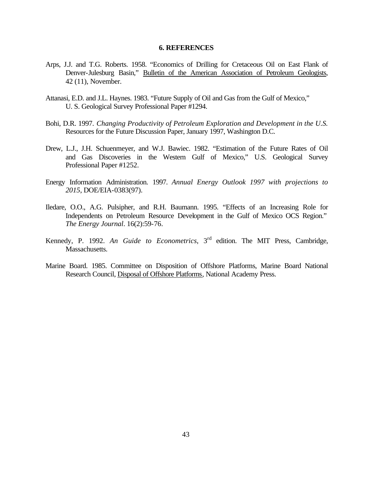#### **6. REFERENCES**

- Arps, J.J. and T.G. Roberts. 1958. "Economics of Drilling for Cretaceous Oil on East Flank of Denver-Julesburg Basin," Bulletin of the American Association of Petroleum Geologists, 42 (11), November.
- Attanasi, E.D. and J.L. Haynes. 1983. "Future Supply of Oil and Gas from the Gulf of Mexico," U. S. Geological Survey Professional Paper #1294.
- Bohi, D.R. 1997. *Changing Productivity of Petroleum Exploration and Development in the U.S.* Resources for the Future Discussion Paper, January 1997, Washington D.C.
- Drew, L.J., J.H. Schuenmeyer, and W.J. Bawiec. 1982. "Estimation of the Future Rates of Oil and Gas Discoveries in the Western Gulf of Mexico," U.S. Geological Survey Professional Paper #1252.
- Energy Information Administration. 1997. *Annual Energy Outlook 1997 with projections to 2015*, DOE/EIA-0383(97).
- Iledare, O.O., A.G. Pulsipher, and R.H. Baumann. 1995. "Effects of an Increasing Role for Independents on Petroleum Resource Development in the Gulf of Mexico OCS Region." *The Energy Journal*. 16(2):59-76.
- Kennedy, P. 1992. An Guide to Econometrics, 3<sup>rd</sup> edition. The MIT Press, Cambridge, Massachusetts.
- Marine Board. 1985. Committee on Disposition of Offshore Platforms, Marine Board National Research Council, Disposal of Offshore Platforms, National Academy Press.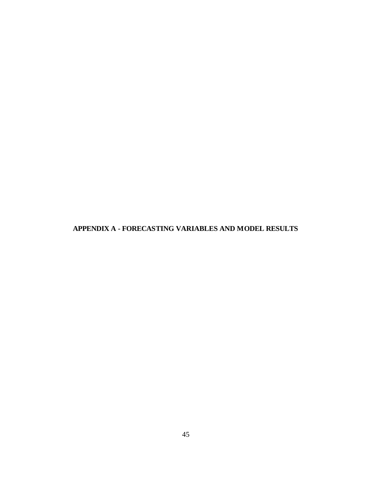**APPENDIX A - FORECASTING VARIABLES AND MODEL RESULTS**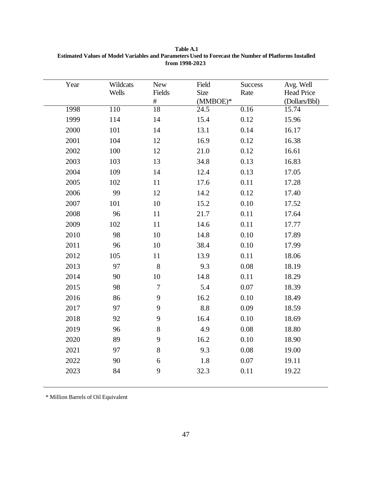| Year | Wildcats<br>Wells | New<br>Fields<br>$\#$ | Field<br><b>Size</b><br>$(MMBOE)*$ | <b>Success</b><br>Rate | Avg. Well<br><b>Head Price</b><br>(Dollars/Bbl) |
|------|-------------------|-----------------------|------------------------------------|------------------------|-------------------------------------------------|
| 1998 | 110               | 18                    | $\overline{24.5}$                  | 0.16                   | 15.74                                           |
| 1999 | 114               | 14                    | 15.4                               | 0.12                   | 15.96                                           |
| 2000 | 101               | 14                    | 13.1                               | 0.14                   | 16.17                                           |
| 2001 | 104               | 12                    | 16.9                               | 0.12                   | 16.38                                           |
| 2002 | 100               | 12                    | 21.0                               | 0.12                   | 16.61                                           |
| 2003 | 103               | 13                    | 34.8                               | 0.13                   | 16.83                                           |
| 2004 | 109               | 14                    | 12.4                               | 0.13                   | 17.05                                           |
| 2005 | 102               | 11                    | 17.6                               | 0.11                   | 17.28                                           |
| 2006 | 99                | 12                    | 14.2                               | 0.12                   | 17.40                                           |
| 2007 | 101               | 10                    | 15.2                               | 0.10                   | 17.52                                           |
| 2008 | 96                | 11                    | 21.7                               | 0.11                   | 17.64                                           |
| 2009 | 102               | 11                    | 14.6                               | 0.11                   | 17.77                                           |
| 2010 | 98                | 10                    | 14.8                               | 0.10                   | 17.89                                           |
| 2011 | 96                | 10                    | 38.4                               | 0.10                   | 17.99                                           |
| 2012 | 105               | 11                    | 13.9                               | 0.11                   | 18.06                                           |
| 2013 | 97                | 8                     | 9.3                                | 0.08                   | 18.19                                           |
| 2014 | 90                | 10                    | 14.8                               | 0.11                   | 18.29                                           |
| 2015 | 98                | $\boldsymbol{7}$      | 5.4                                | 0.07                   | 18.39                                           |
| 2016 | 86                | 9                     | 16.2                               | 0.10                   | 18.49                                           |
| 2017 | 97                | 9                     | 8.8                                | 0.09                   | 18.59                                           |
| 2018 | 92                | 9                     | 16.4                               | 0.10                   | 18.69                                           |
| 2019 | 96                | $8\,$                 | 4.9                                | 0.08                   | 18.80                                           |
| 2020 | 89                | 9                     | 16.2                               | 0.10                   | 18.90                                           |
| 2021 | 97                | $8\,$                 | 9.3                                | 0.08                   | 19.00                                           |
| 2022 | 90                | $\boldsymbol{6}$      | 1.8                                | $0.07\,$               | 19.11                                           |
| 2023 | 84                | 9                     | 32.3                               | 0.11                   | 19.22                                           |

**Table A.1 Estimated Values of Model Variables and Parameters Used to Forecast the Number of Platforms Installed from 1998-2023**

\* Million Barrels of Oil Equivalent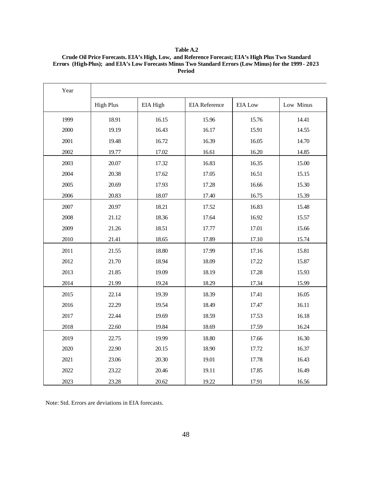| <b>Table A.2</b>                                                                                      |
|-------------------------------------------------------------------------------------------------------|
| Crude Oil Price Forecasts. EIA's High, Low, and Reference Forecast; EIA's High Plus Two Standard      |
| Errors (High-Plus); and EIA's Low Forecasts Minus Two Standard Errors (Low Minus) for the 1999 - 2023 |
| Period                                                                                                |

| Year |                  |          |                      |                |           |
|------|------------------|----------|----------------------|----------------|-----------|
|      | <b>High Plus</b> | EIA High | <b>EIA</b> Reference | <b>EIA Low</b> | Low Minus |
| 1999 | 18.91            | 16.15    | 15.96                | 15.76          | 14.41     |
| 2000 | 19.19            | 16.43    | 16.17                | 15.91          | 14.55     |
| 2001 | 19.48            | 16.72    | 16.39                | 16.05          | 14.70     |
| 2002 | 19.77            | 17.02    | 16.61                | 16.20          | 14.85     |
| 2003 | 20.07            | 17.32    | 16.83                | 16.35          | 15.00     |
| 2004 | 20.38            | 17.62    | 17.05                | 16.51          | 15.15     |
| 2005 | 20.69            | 17.93    | 17.28                | 16.66          | 15.30     |
| 2006 | 20.83            | 18.07    | 17.40                | 16.75          | 15.39     |
| 2007 | 20.97            | 18.21    | 17.52                | 16.83          | 15.48     |
| 2008 | 21.12            | 18.36    | 17.64                | 16.92          | 15.57     |
| 2009 | 21.26            | 18.51    | 17.77                | 17.01          | 15.66     |
| 2010 | 21.41            | 18.65    | 17.89                | 17.10          | 15.74     |
| 2011 | 21.55            | 18.80    | 17.99                | 17.16          | 15.81     |
| 2012 | 21.70            | 18.94    | 18.09                | 17.22          | 15.87     |
| 2013 | 21.85            | 19.09    | 18.19                | 17.28          | 15.93     |
| 2014 | 21.99            | 19.24    | 18.29                | 17.34          | 15.99     |
| 2015 | 22.14            | 19.39    | 18.39                | 17.41          | 16.05     |
| 2016 | 22.29            | 19.54    | 18.49                | 17.47          | 16.11     |
| 2017 | 22.44            | 19.69    | 18.59                | 17.53          | 16.18     |
| 2018 | 22.60            | 19.84    | 18.69                | 17.59          | 16.24     |
| 2019 | 22.75            | 19.99    | 18.80                | 17.66          | 16.30     |
| 2020 | 22.90            | 20.15    | 18.90                | 17.72          | 16.37     |
| 2021 | 23.06            | 20.30    | 19.01                | 17.78          | 16.43     |
| 2022 | 23.22            | 20.46    | 19.11                | 17.85          | 16.49     |
| 2023 | 23.28            | 20.62    | 19.22                | 17.91          | 16.56     |

Note: Std. Errors are deviations in EIA forecasts.

г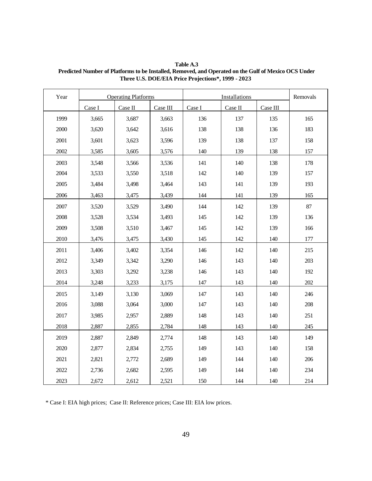| Year | <b>Operating Platforms</b> |         |          | Installations |         |          | Removals |
|------|----------------------------|---------|----------|---------------|---------|----------|----------|
|      | Case I                     | Case II | Case III | Case I        | Case II | Case III |          |
| 1999 | 3,665                      | 3,687   | 3,663    | 136           | 137     | 135      | 165      |
| 2000 | 3,620                      | 3,642   | 3,616    | 138           | 138     | 136      | 183      |
| 2001 | 3,601                      | 3,623   | 3,596    | 139           | 138     | 137      | 158      |
| 2002 | 3,585                      | 3,605   | 3,576    | 140           | 139     | 138      | 157      |
| 2003 | 3,548                      | 3,566   | 3,536    | 141           | 140     | 138      | 178      |
| 2004 | 3,533                      | 3,550   | 3,518    | 142           | 140     | 139      | 157      |
| 2005 | 3,484                      | 3,498   | 3,464    | 143           | 141     | 139      | 193      |
| 2006 | 3,463                      | 3,475   | 3,439    | 144           | 141     | 139      | 165      |
| 2007 | 3,520                      | 3,529   | 3,490    | 144           | 142     | 139      | 87       |
| 2008 | 3,528                      | 3,534   | 3,493    | 145           | 142     | 139      | 136      |
| 2009 | 3,508                      | 3,510   | 3,467    | 145           | 142     | 139      | 166      |
| 2010 | 3,476                      | 3,475   | 3,430    | 145           | 142     | 140      | 177      |
| 2011 | 3,406                      | 3,402   | 3,354    | 146           | 142     | 140      | 215      |
| 2012 | 3,349                      | 3,342   | 3,290    | 146           | 143     | 140      | 203      |
| 2013 | 3,303                      | 3,292   | 3,238    | 146           | 143     | 140      | 192      |
| 2014 | 3,248                      | 3,233   | 3,175    | 147           | 143     | 140      | 202      |
| 2015 | 3,149                      | 3,130   | 3,069    | 147           | 143     | 140      | 246      |
| 2016 | 3,088                      | 3,064   | 3,000    | 147           | 143     | 140      | 208      |
| 2017 | 3,985                      | 2,957   | 2,889    | 148           | 143     | 140      | 251      |
| 2018 | 2,887                      | 2,855   | 2,784    | 148           | 143     | 140      | 245      |
| 2019 | 2,887                      | 2,849   | 2,774    | 148           | 143     | 140      | 149      |
| 2020 | 2,877                      | 2,834   | 2,755    | 149           | 143     | 140      | 158      |
| 2021 | 2,821                      | 2,772   | 2,689    | 149           | 144     | 140      | 206      |

**Table A.3 Predicted Number of Platforms to be Installed, Removed, and Operated on the Gulf of Mexico OCS Under Three U.S. DOE/EIA Price Projections\*, 1999 - 2023**

\* Case I: EIA high prices; Case II: Reference prices; Case III: EIA low prices.

2022 | 2,736 | 2,682 | 2,595 | 149 | 144 | 140 | 234 2023 | 2,672 | 2,612 | 2,521 | 150 | 144 | 140 | 214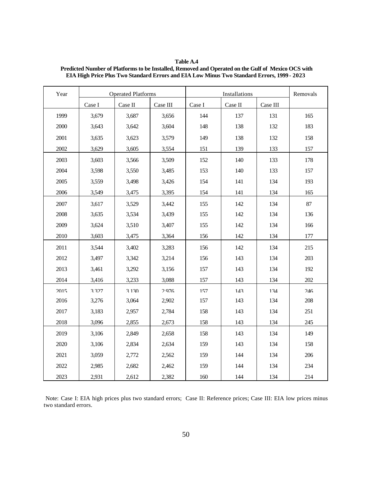| Table A.4                                                                                          |
|----------------------------------------------------------------------------------------------------|
| Predicted Number of Platforms to be Installed, Removed and Operated on the Gulf of Mexico OCS with |
| <b>EIA High Price Plus Two Standard Errors and EIA Low Minus Two Standard Errors, 1999 - 2023</b>  |

| Year | <b>Operated Platforms</b> |         |          | Installations |         |          | Removals |
|------|---------------------------|---------|----------|---------------|---------|----------|----------|
|      | Case I                    | Case II | Case III | Case I        | Case II | Case III |          |
| 1999 | 3,679                     | 3,687   | 3,656    | 144           | 137     | 131      | 165      |
| 2000 | 3,643                     | 3,642   | 3,604    | 148           | 138     | 132      | 183      |
| 2001 | 3,635                     | 3,623   | 3,579    | 149           | 138     | 132      | 158      |
| 2002 | 3,629                     | 3,605   | 3,554    | 151           | 139     | 133      | 157      |
| 2003 | 3,603                     | 3,566   | 3,509    | 152           | 140     | 133      | 178      |
| 2004 | 3,598                     | 3,550   | 3,485    | 153           | 140     | 133      | 157      |
| 2005 | 3,559                     | 3,498   | 3,426    | 154           | 141     | 134      | 193      |
| 2006 | 3,549                     | 3,475   | 3,395    | 154           | 141     | 134      | 165      |
| 2007 | 3,617                     | 3,529   | 3,442    | 155           | 142     | 134      | 87       |
| 2008 | 3,635                     | 3,534   | 3,439    | 155           | 142     | 134      | 136      |
| 2009 | 3,624                     | 3,510   | 3,407    | 155           | 142     | 134      | 166      |
| 2010 | 3,603                     | 3,475   | 3,364    | 156           | 142     | 134      | 177      |
| 2011 | 3,544                     | 3,402   | 3,283    | 156           | 142     | 134      | 215      |
| 2012 | 3,497                     | 3,342   | 3,214    | 156           | 143     | 134      | 203      |
| 2013 | 3,461                     | 3,292   | 3,156    | 157           | 143     | 134      | 192      |
| 2014 | 3,416                     | 3,233   | 3,088    | 157           | 143     | 134      | 202      |
| 2015 | 3377                      | 3130    | 2976     | 157           | 143     | 134      | 246      |
| 2016 | 3,276                     | 3,064   | 2,902    | 157           | 143     | 134      | 208      |
| 2017 | 3,183                     | 2,957   | 2,784    | 158           | 143     | 134      | 251      |
| 2018 | 3,096                     | 2,855   | 2,673    | 158           | 143     | 134      | 245      |
| 2019 | 3,106                     | 2,849   | 2,658    | 158           | 143     | 134      | 149      |
| 2020 | 3,106                     | 2,834   | 2,634    | 159           | 143     | 134      | 158      |
| 2021 | 3,059                     | 2,772   | 2,562    | 159           | 144     | 134      | 206      |
| 2022 | 2,985                     | 2,682   | 2,462    | 159           | 144     | 134      | 234      |
| 2023 | 2,931                     | 2,612   | 2,382    | 160           | 144     | 134      | 214      |

Note: Case I: EIA high prices plus two standard errors; Case II: Reference prices; Case III: EIA low prices minus two standard errors.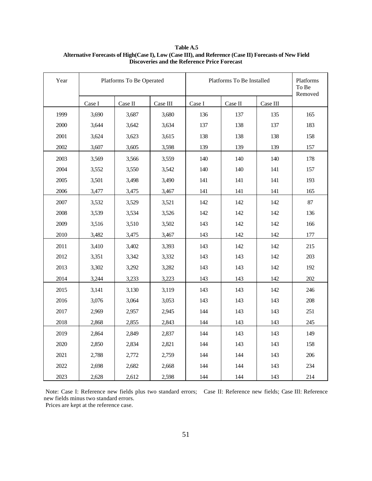| Year | Platforms To Be Operated |               |          | Platforms To Be Installed |         |          | Platforms<br>To Be<br>Removed |
|------|--------------------------|---------------|----------|---------------------------|---------|----------|-------------------------------|
|      | Case I                   | $\rm Case~II$ | Case III | Case I                    | Case II | Case III |                               |
| 1999 | 3,690                    | 3,687         | 3,680    | 136                       | 137     | 135      | 165                           |
| 2000 | 3,644                    | 3,642         | 3,634    | 137                       | 138     | 137      | 183                           |
| 2001 | 3,624                    | 3,623         | 3,615    | 138                       | 138     | 138      | 158                           |
| 2002 | 3,607                    | 3,605         | 3,598    | 139                       | 139     | 139      | 157                           |
| 2003 | 3,569                    | 3,566         | 3,559    | 140                       | 140     | 140      | 178                           |
| 2004 | 3,552                    | 3,550         | 3,542    | 140                       | 140     | 141      | 157                           |
| 2005 | 3,501                    | 3,498         | 3,490    | 141                       | 141     | 141      | 193                           |
| 2006 | 3,477                    | 3,475         | 3,467    | 141                       | 141     | 141      | 165                           |
| 2007 | 3,532                    | 3,529         | 3,521    | 142                       | 142     | 142      | 87                            |
| 2008 | 3,539                    | 3,534         | 3,526    | 142                       | 142     | 142      | 136                           |
| 2009 | 3,516                    | 3,510         | 3,502    | 143                       | 142     | 142      | 166                           |
| 2010 | 3,482                    | 3,475         | 3,467    | 143                       | 142     | 142      | 177                           |
| 2011 | 3,410                    | 3,402         | 3,393    | 143                       | 142     | 142      | 215                           |
| 2012 | 3,351                    | 3,342         | 3,332    | 143                       | 143     | 142      | 203                           |
| 2013 | 3,302                    | 3,292         | 3,282    | 143                       | 143     | 142      | 192                           |
| 2014 | 3,244                    | 3,233         | 3,223    | 143                       | 143     | 142      | 202                           |
| 2015 | 3,141                    | 3,130         | 3,119    | 143                       | 143     | 142      | 246                           |
| 2016 | 3,076                    | 3,064         | 3,053    | 143                       | 143     | 143      | 208                           |
| 2017 | 2,969                    | 2,957         | 2,945    | 144                       | 143     | 143      | 251                           |
| 2018 | 2,868                    | 2,855         | 2,843    | 144                       | 143     | 143      | 245                           |
| 2019 | 2,864                    | 2,849         | 2,837    | 144                       | 143     | 143      | 149                           |
| 2020 | 2,850                    | 2,834         | 2,821    | 144                       | 143     | 143      | 158                           |
| 2021 | 2,788                    | 2,772         | 2,759    | 144                       | 144     | 143      | 206                           |
| 2022 | 2,698                    | 2,682         | 2,668    | 144                       | 144     | 143      | 234                           |
| 2023 | 2,628                    | 2,612         | 2,598    | 144                       | 144     | 143      | 214                           |

#### **Table A.5 Alternative Forecasts of High(Case I), Low (Case III), and Reference (Case II) Forecasts of New Field Discoveries and the Reference Price Forecast**

Note: Case I: Reference new fields plus two standard errors; Case II: Reference new fields; Case III: Reference new fields minus two standard errors.

Prices are kept at the reference case.